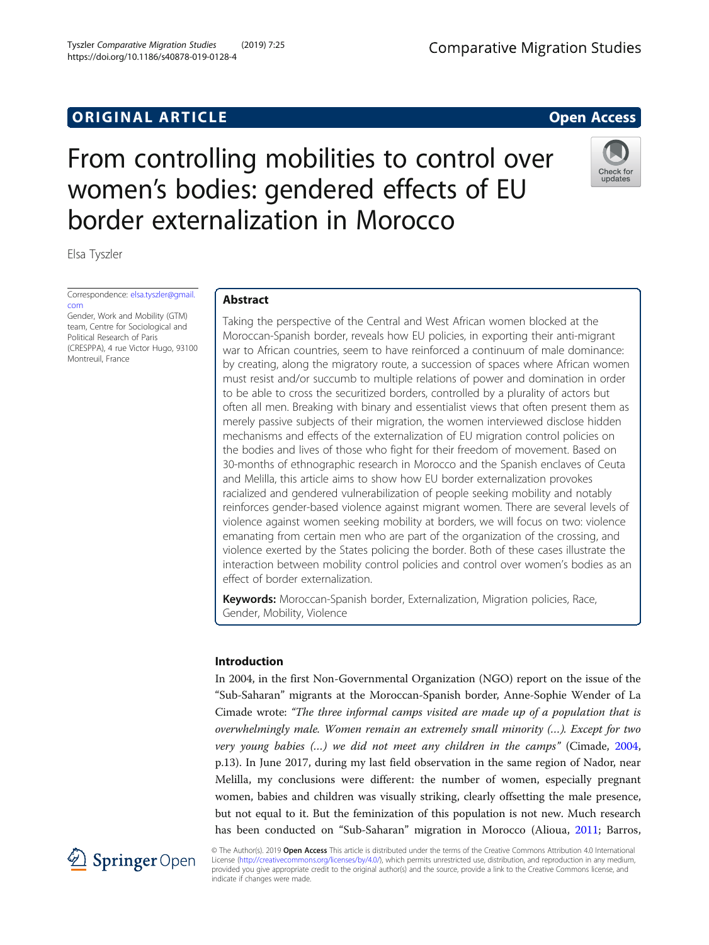# **ORIGINAL ARTICLE CONSERVANCE IN A LOCAL CONSERVANCE IN A LOCAL CONSERVANCE IN A LOCAL CONSERVANCE IN A LOCAL CONSERVANCE IN A LOCAL CONSERVANCE IN A LOCAL CONSERVANCE IN A LOCAL CONSERVANCE IN A LOCAL CONSERVANCE IN A L**

# From controlling mobilities to control over women's bodies: gendered effects of EU border externalization in Morocco

Elsa Tyszler

Correspondence: [elsa.tyszler@gmail.](mailto:elsa.tyszler@gmail.com) [com](mailto:elsa.tyszler@gmail.com) Gender, Work and Mobility (GTM)

team, Centre for Sociological and Political Research of Paris (CRESPPA), 4 rue Victor Hugo, 93100 Montreuil, France

# Abstract

Taking the perspective of the Central and West African women blocked at the Moroccan-Spanish border, reveals how EU policies, in exporting their anti-migrant war to African countries, seem to have reinforced a continuum of male dominance: by creating, along the migratory route, a succession of spaces where African women must resist and/or succumb to multiple relations of power and domination in order to be able to cross the securitized borders, controlled by a plurality of actors but often all men. Breaking with binary and essentialist views that often present them as merely passive subjects of their migration, the women interviewed disclose hidden mechanisms and effects of the externalization of EU migration control policies on the bodies and lives of those who fight for their freedom of movement. Based on 30-months of ethnographic research in Morocco and the Spanish enclaves of Ceuta and Melilla, this article aims to show how EU border externalization provokes racialized and gendered vulnerabilization of people seeking mobility and notably reinforces gender-based violence against migrant women. There are several levels of violence against women seeking mobility at borders, we will focus on two: violence emanating from certain men who are part of the organization of the crossing, and violence exerted by the States policing the border. Both of these cases illustrate the interaction between mobility control policies and control over women's bodies as an effect of border externalization.

Keywords: Moroccan-Spanish border, Externalization, Migration policies, Race, Gender, Mobility, Violence

# Introduction

In 2004, in the first Non-Governmental Organization (NGO) report on the issue of the "Sub-Saharan" migrants at the Moroccan-Spanish border, Anne-Sophie Wender of La Cimade wrote: "The three informal camps visited are made up of a population that is overwhelmingly male. Women remain an extremely small minority (…). Except for two very young babies (…) we did not meet any children in the camps" (Cimade, [2004](#page-16-0), p.13). In June 2017, during my last field observation in the same region of Nador, near Melilla, my conclusions were different: the number of women, especially pregnant women, babies and children was visually striking, clearly offsetting the male presence, but not equal to it. But the feminization of this population is not new. Much research has been conducted on "Sub-Saharan" migration in Morocco (Alioua, [2011;](#page-16-0) Barros,



© The Author(s). 2019 Open Access This article is distributed under the terms of the Creative Commons Attribution 4.0 International License [\(http://creativecommons.org/licenses/by/4.0/](http://creativecommons.org/licenses/by/4.0/)), which permits unrestricted use, distribution, and reproduction in any medium, provided you give appropriate credit to the original author(s) and the source, provide a link to the Creative Commons license, and indicate if changes were made.

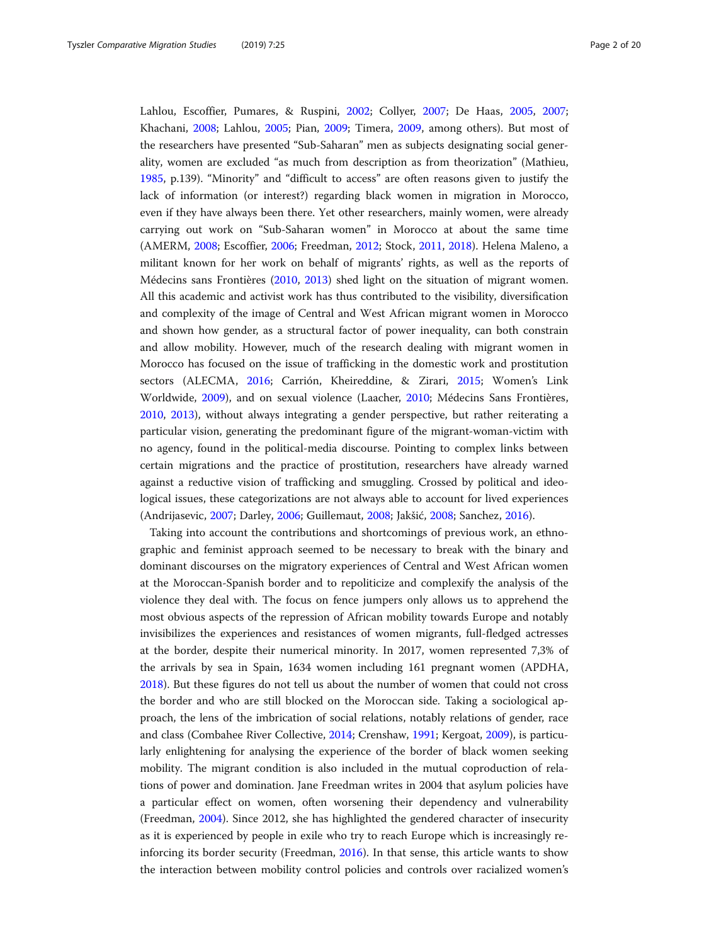Lahlou, Escoffier, Pumares, & Ruspini, [2002;](#page-16-0) Collyer, [2007;](#page-16-0) De Haas, [2005,](#page-17-0) [2007](#page-17-0); Khachani, [2008;](#page-17-0) Lahlou, [2005](#page-17-0); Pian, [2009](#page-18-0); Timera, [2009](#page-18-0), among others). But most of the researchers have presented "Sub-Saharan" men as subjects designating social generality, women are excluded "as much from description as from theorization" (Mathieu, [1985](#page-18-0), p.139). "Minority" and "difficult to access" are often reasons given to justify the lack of information (or interest?) regarding black women in migration in Morocco, even if they have always been there. Yet other researchers, mainly women, were already carrying out work on "Sub-Saharan women" in Morocco at about the same time (AMERM, [2008;](#page-16-0) Escoffier, [2006](#page-17-0); Freedman, [2012;](#page-17-0) Stock, [2011,](#page-18-0) [2018\)](#page-18-0). Helena Maleno, a militant known for her work on behalf of migrants' rights, as well as the reports of Médecins sans Frontières [\(2010](#page-18-0), [2013\)](#page-18-0) shed light on the situation of migrant women. All this academic and activist work has thus contributed to the visibility, diversification and complexity of the image of Central and West African migrant women in Morocco and shown how gender, as a structural factor of power inequality, can both constrain and allow mobility. However, much of the research dealing with migrant women in Morocco has focused on the issue of trafficking in the domestic work and prostitution sectors (ALECMA, [2016](#page-16-0); Carrión, Kheireddine, & Zirari, [2015](#page-16-0); Women's Link Worldwide, [2009](#page-19-0)), and on sexual violence (Laacher, [2010;](#page-17-0) Médecins Sans Frontières, [2010](#page-18-0), [2013](#page-18-0)), without always integrating a gender perspective, but rather reiterating a particular vision, generating the predominant figure of the migrant-woman-victim with no agency, found in the political-media discourse. Pointing to complex links between certain migrations and the practice of prostitution, researchers have already warned against a reductive vision of trafficking and smuggling. Crossed by political and ideological issues, these categorizations are not always able to account for lived experiences (Andrijasevic, [2007](#page-16-0); Darley, [2006;](#page-17-0) Guillemaut, [2008](#page-17-0); Jakšić, [2008](#page-17-0); Sanchez, [2016](#page-18-0)).

Taking into account the contributions and shortcomings of previous work, an ethnographic and feminist approach seemed to be necessary to break with the binary and dominant discourses on the migratory experiences of Central and West African women at the Moroccan-Spanish border and to repoliticize and complexify the analysis of the violence they deal with. The focus on fence jumpers only allows us to apprehend the most obvious aspects of the repression of African mobility towards Europe and notably invisibilizes the experiences and resistances of women migrants, full-fledged actresses at the border, despite their numerical minority. In 2017, women represented 7,3% of the arrivals by sea in Spain, 1634 women including 161 pregnant women (APDHA, [2018](#page-16-0)). But these figures do not tell us about the number of women that could not cross the border and who are still blocked on the Moroccan side. Taking a sociological approach, the lens of the imbrication of social relations, notably relations of gender, race and class (Combahee River Collective, [2014](#page-18-0); Crenshaw, [1991](#page-17-0); Kergoat, [2009\)](#page-17-0), is particularly enlightening for analysing the experience of the border of black women seeking mobility. The migrant condition is also included in the mutual coproduction of relations of power and domination. Jane Freedman writes in 2004 that asylum policies have a particular effect on women, often worsening their dependency and vulnerability (Freedman, [2004\)](#page-17-0). Since 2012, she has highlighted the gendered character of insecurity as it is experienced by people in exile who try to reach Europe which is increasingly reinforcing its border security (Freedman, [2016\)](#page-17-0). In that sense, this article wants to show the interaction between mobility control policies and controls over racialized women's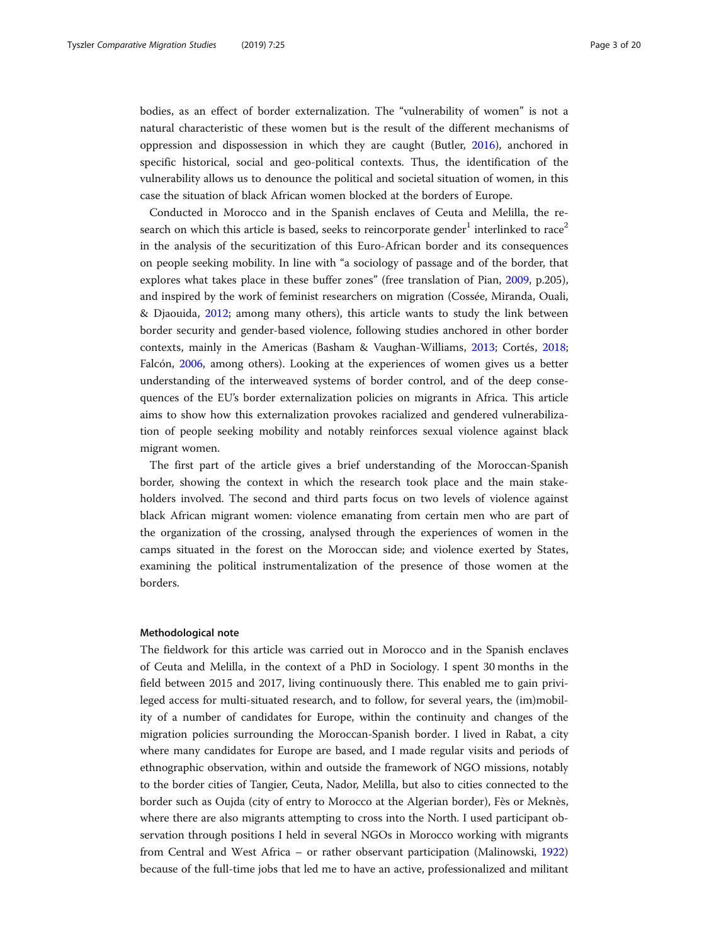bodies, as an effect of border externalization. The "vulnerability of women" is not a natural characteristic of these women but is the result of the different mechanisms of oppression and dispossession in which they are caught (Butler, [2016](#page-16-0)), anchored in specific historical, social and geo-political contexts. Thus, the identification of the vulnerability allows us to denounce the political and societal situation of women, in this case the situation of black African women blocked at the borders of Europe.

Conducted in Morocco and in the Spanish enclaves of Ceuta and Melilla, the research on which this article is based, seeks to reincorporate gender<sup>1</sup> interlinked to race<sup>2</sup> in the analysis of the securitization of this Euro-African border and its consequences on people seeking mobility. In line with "a sociology of passage and of the border, that explores what takes place in these buffer zones" (free translation of Pian, [2009,](#page-18-0) p.205), and inspired by the work of feminist researchers on migration (Cossée, Miranda, Ouali, & Djaouida, [2012;](#page-16-0) among many others), this article wants to study the link between border security and gender-based violence, following studies anchored in other border contexts, mainly in the Americas (Basham & Vaughan-Williams, [2013;](#page-16-0) Cortés, [2018](#page-16-0); Falcón, [2006](#page-17-0), among others). Looking at the experiences of women gives us a better understanding of the interweaved systems of border control, and of the deep consequences of the EU's border externalization policies on migrants in Africa. This article aims to show how this externalization provokes racialized and gendered vulnerabilization of people seeking mobility and notably reinforces sexual violence against black migrant women.

The first part of the article gives a brief understanding of the Moroccan-Spanish border, showing the context in which the research took place and the main stakeholders involved. The second and third parts focus on two levels of violence against black African migrant women: violence emanating from certain men who are part of the organization of the crossing, analysed through the experiences of women in the camps situated in the forest on the Moroccan side; and violence exerted by States, examining the political instrumentalization of the presence of those women at the borders.

# Methodological note

The fieldwork for this article was carried out in Morocco and in the Spanish enclaves of Ceuta and Melilla, in the context of a PhD in Sociology. I spent 30 months in the field between 2015 and 2017, living continuously there. This enabled me to gain privileged access for multi-situated research, and to follow, for several years, the (im)mobility of a number of candidates for Europe, within the continuity and changes of the migration policies surrounding the Moroccan-Spanish border. I lived in Rabat, a city where many candidates for Europe are based, and I made regular visits and periods of ethnographic observation, within and outside the framework of NGO missions, notably to the border cities of Tangier, Ceuta, Nador, Melilla, but also to cities connected to the border such as Oujda (city of entry to Morocco at the Algerian border), Fès or Meknès, where there are also migrants attempting to cross into the North. I used participant observation through positions I held in several NGOs in Morocco working with migrants from Central and West Africa – or rather observant participation (Malinowski, [1922](#page-18-0)) because of the full-time jobs that led me to have an active, professionalized and militant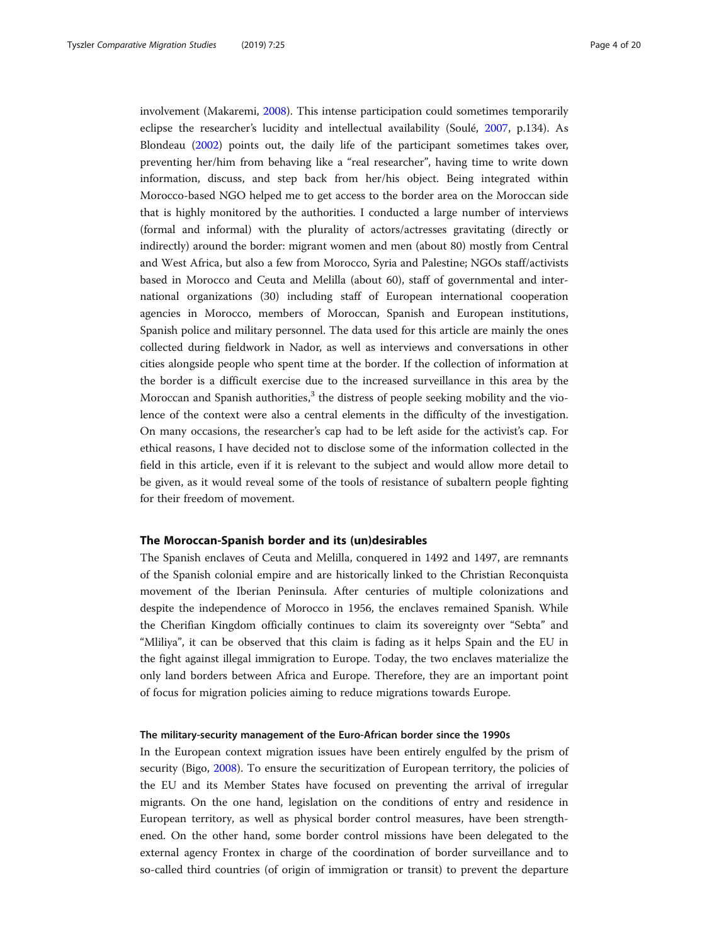involvement (Makaremi, [2008\)](#page-17-0). This intense participation could sometimes temporarily eclipse the researcher's lucidity and intellectual availability (Soulé, [2007](#page-18-0), p.134). As Blondeau [\(2002\)](#page-16-0) points out, the daily life of the participant sometimes takes over, preventing her/him from behaving like a "real researcher", having time to write down information, discuss, and step back from her/his object. Being integrated within Morocco-based NGO helped me to get access to the border area on the Moroccan side that is highly monitored by the authorities. I conducted a large number of interviews (formal and informal) with the plurality of actors/actresses gravitating (directly or indirectly) around the border: migrant women and men (about 80) mostly from Central and West Africa, but also a few from Morocco, Syria and Palestine; NGOs staff/activists based in Morocco and Ceuta and Melilla (about 60), staff of governmental and international organizations (30) including staff of European international cooperation agencies in Morocco, members of Moroccan, Spanish and European institutions, Spanish police and military personnel. The data used for this article are mainly the ones collected during fieldwork in Nador, as well as interviews and conversations in other cities alongside people who spent time at the border. If the collection of information at the border is a difficult exercise due to the increased surveillance in this area by the Moroccan and Spanish authorities, $3$  the distress of people seeking mobility and the violence of the context were also a central elements in the difficulty of the investigation. On many occasions, the researcher's cap had to be left aside for the activist's cap. For ethical reasons, I have decided not to disclose some of the information collected in the field in this article, even if it is relevant to the subject and would allow more detail to be given, as it would reveal some of the tools of resistance of subaltern people fighting for their freedom of movement.

# The Moroccan-Spanish border and its (un)desirables

The Spanish enclaves of Ceuta and Melilla, conquered in 1492 and 1497, are remnants of the Spanish colonial empire and are historically linked to the Christian Reconquista movement of the Iberian Peninsula. After centuries of multiple colonizations and despite the independence of Morocco in 1956, the enclaves remained Spanish. While the Cherifian Kingdom officially continues to claim its sovereignty over "Sebta" and "Mliliya", it can be observed that this claim is fading as it helps Spain and the EU in the fight against illegal immigration to Europe. Today, the two enclaves materialize the only land borders between Africa and Europe. Therefore, they are an important point of focus for migration policies aiming to reduce migrations towards Europe.

# The military-security management of the Euro-African border since the 1990s

In the European context migration issues have been entirely engulfed by the prism of security (Bigo, [2008](#page-16-0)). To ensure the securitization of European territory, the policies of the EU and its Member States have focused on preventing the arrival of irregular migrants. On the one hand, legislation on the conditions of entry and residence in European territory, as well as physical border control measures, have been strengthened. On the other hand, some border control missions have been delegated to the external agency Frontex in charge of the coordination of border surveillance and to so-called third countries (of origin of immigration or transit) to prevent the departure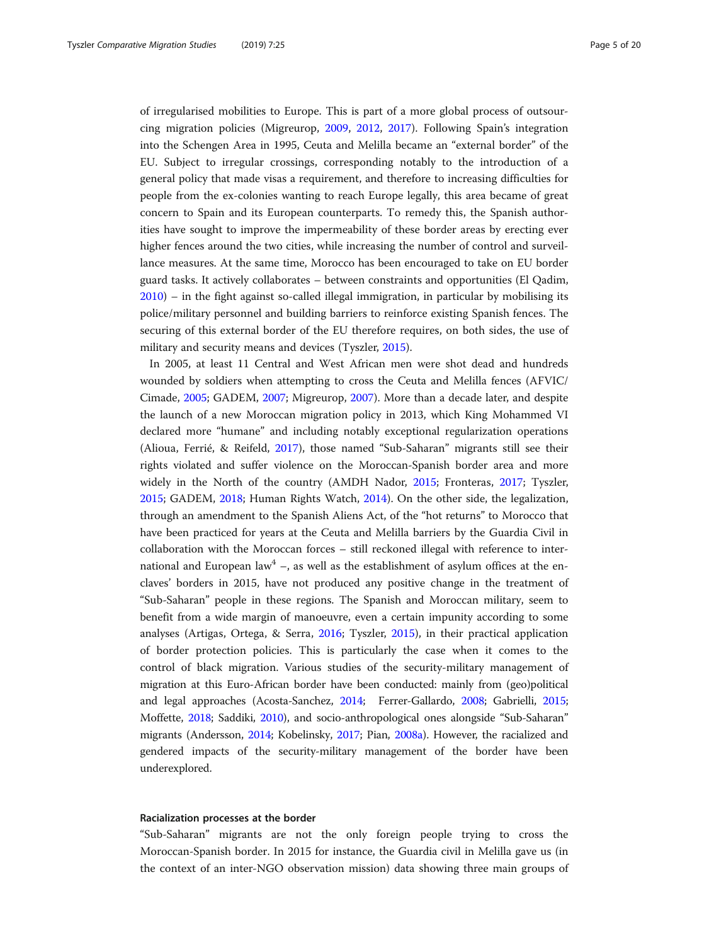of irregularised mobilities to Europe. This is part of a more global process of outsourcing migration policies (Migreurop, [2009,](#page-18-0) [2012](#page-18-0), [2017\)](#page-18-0). Following Spain's integration into the Schengen Area in 1995, Ceuta and Melilla became an "external border" of the EU. Subject to irregular crossings, corresponding notably to the introduction of a general policy that made visas a requirement, and therefore to increasing difficulties for people from the ex-colonies wanting to reach Europe legally, this area became of great concern to Spain and its European counterparts. To remedy this, the Spanish authorities have sought to improve the impermeability of these border areas by erecting ever higher fences around the two cities, while increasing the number of control and surveillance measures. At the same time, Morocco has been encouraged to take on EU border guard tasks. It actively collaborates – between constraints and opportunities (El Qadim, [2010](#page-17-0)) – in the fight against so-called illegal immigration, in particular by mobilising its police/military personnel and building barriers to reinforce existing Spanish fences. The securing of this external border of the EU therefore requires, on both sides, the use of military and security means and devices (Tyszler, [2015](#page-18-0)).

In 2005, at least 11 Central and West African men were shot dead and hundreds wounded by soldiers when attempting to cross the Ceuta and Melilla fences (AFVIC/ Cimade, [2005;](#page-16-0) GADEM, [2007](#page-17-0); Migreurop, [2007](#page-18-0)). More than a decade later, and despite the launch of a new Moroccan migration policy in 2013, which King Mohammed VI declared more "humane" and including notably exceptional regularization operations (Alioua, Ferrié, & Reifeld, [2017\)](#page-16-0), those named "Sub-Saharan" migrants still see their rights violated and suffer violence on the Moroccan-Spanish border area and more widely in the North of the country (AMDH Nador, [2015;](#page-16-0) Fronteras, [2017](#page-17-0); Tyszler, [2015](#page-18-0); GADEM, [2018](#page-17-0); Human Rights Watch, [2014](#page-17-0)). On the other side, the legalization, through an amendment to the Spanish Aliens Act, of the "hot returns" to Morocco that have been practiced for years at the Ceuta and Melilla barriers by the Guardia Civil in collaboration with the Moroccan forces – still reckoned illegal with reference to international and European law<sup>4</sup> –, as well as the establishment of asylum offices at the enclaves' borders in 2015, have not produced any positive change in the treatment of "Sub-Saharan" people in these regions. The Spanish and Moroccan military, seem to benefit from a wide margin of manoeuvre, even a certain impunity according to some analyses (Artigas, Ortega, & Serra, [2016](#page-16-0); Tyszler, [2015\)](#page-18-0), in their practical application of border protection policies. This is particularly the case when it comes to the control of black migration. Various studies of the security-military management of migration at this Euro-African border have been conducted: mainly from (geo)political and legal approaches (Acosta-Sanchez, [2014;](#page-16-0) Ferrer-Gallardo, [2008;](#page-17-0) Gabrielli, [2015](#page-17-0); Moffette, [2018](#page-18-0); Saddiki, [2010](#page-18-0)), and socio-anthropological ones alongside "Sub-Saharan" migrants (Andersson, [2014;](#page-16-0) Kobelinsky, [2017;](#page-17-0) Pian, [2008a](#page-18-0)). However, the racialized and gendered impacts of the security-military management of the border have been underexplored.

# Racialization processes at the border

"Sub-Saharan" migrants are not the only foreign people trying to cross the Moroccan-Spanish border. In 2015 for instance, the Guardia civil in Melilla gave us (in the context of an inter-NGO observation mission) data showing three main groups of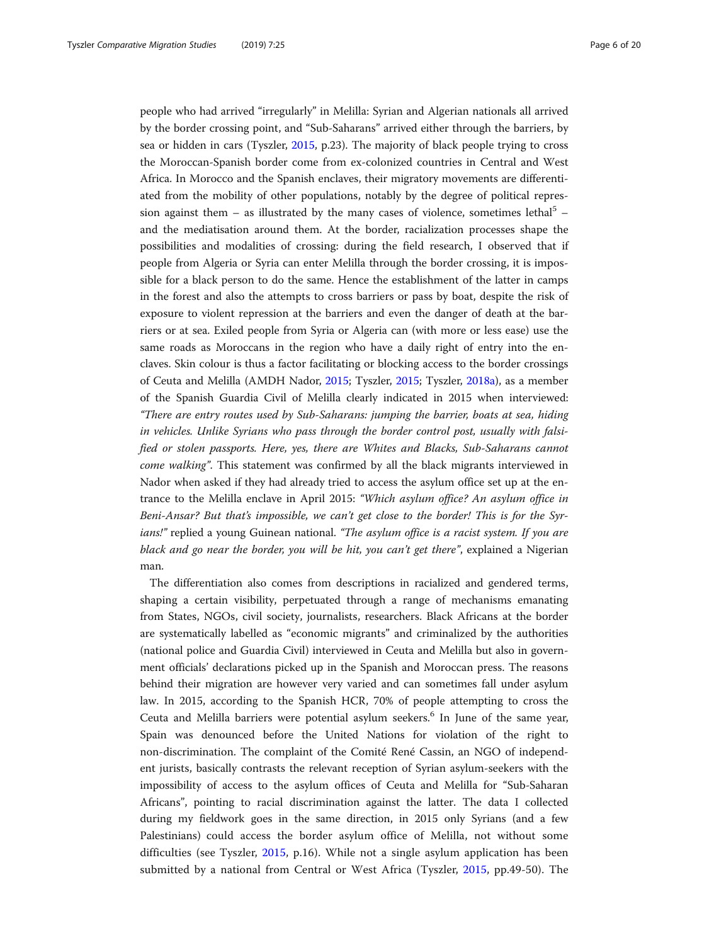people who had arrived "irregularly" in Melilla: Syrian and Algerian nationals all arrived by the border crossing point, and "Sub-Saharans" arrived either through the barriers, by sea or hidden in cars (Tyszler, [2015,](#page-18-0) p.23). The majority of black people trying to cross the Moroccan-Spanish border come from ex-colonized countries in Central and West Africa. In Morocco and the Spanish enclaves, their migratory movements are differentiated from the mobility of other populations, notably by the degree of political repression against them – as illustrated by the many cases of violence, sometimes lethal<sup>5</sup> – and the mediatisation around them. At the border, racialization processes shape the possibilities and modalities of crossing: during the field research, I observed that if people from Algeria or Syria can enter Melilla through the border crossing, it is impossible for a black person to do the same. Hence the establishment of the latter in camps in the forest and also the attempts to cross barriers or pass by boat, despite the risk of exposure to violent repression at the barriers and even the danger of death at the barriers or at sea. Exiled people from Syria or Algeria can (with more or less ease) use the same roads as Moroccans in the region who have a daily right of entry into the enclaves. Skin colour is thus a factor facilitating or blocking access to the border crossings of Ceuta and Melilla (AMDH Nador, [2015](#page-16-0); Tyszler, [2015](#page-18-0); Tyszler, [2018a](#page-19-0)), as a member of the Spanish Guardia Civil of Melilla clearly indicated in 2015 when interviewed: "There are entry routes used by Sub-Saharans: jumping the barrier, boats at sea, hiding in vehicles. Unlike Syrians who pass through the border control post, usually with falsified or stolen passports. Here, yes, there are Whites and Blacks, Sub-Saharans cannot come walking". This statement was confirmed by all the black migrants interviewed in Nador when asked if they had already tried to access the asylum office set up at the entrance to the Melilla enclave in April 2015: "Which asylum office? An asylum office in Beni-Ansar? But that's impossible, we can't get close to the border! This is for the Syrians!" replied a young Guinean national. "The asylum office is a racist system. If you are black and go near the border, you will be hit, you can't get there", explained a Nigerian man.

The differentiation also comes from descriptions in racialized and gendered terms, shaping a certain visibility, perpetuated through a range of mechanisms emanating from States, NGOs, civil society, journalists, researchers. Black Africans at the border are systematically labelled as "economic migrants" and criminalized by the authorities (national police and Guardia Civil) interviewed in Ceuta and Melilla but also in government officials' declarations picked up in the Spanish and Moroccan press. The reasons behind their migration are however very varied and can sometimes fall under asylum law. In 2015, according to the Spanish HCR, 70% of people attempting to cross the Ceuta and Melilla barriers were potential asylum seekers.<sup>6</sup> In June of the same year, Spain was denounced before the United Nations for violation of the right to non-discrimination. The complaint of the Comité René Cassin, an NGO of independent jurists, basically contrasts the relevant reception of Syrian asylum-seekers with the impossibility of access to the asylum offices of Ceuta and Melilla for "Sub-Saharan Africans", pointing to racial discrimination against the latter. The data I collected during my fieldwork goes in the same direction, in 2015 only Syrians (and a few Palestinians) could access the border asylum office of Melilla, not without some difficulties (see Tyszler, [2015](#page-18-0), p.16). While not a single asylum application has been submitted by a national from Central or West Africa (Tyszler, [2015](#page-18-0), pp.49-50). The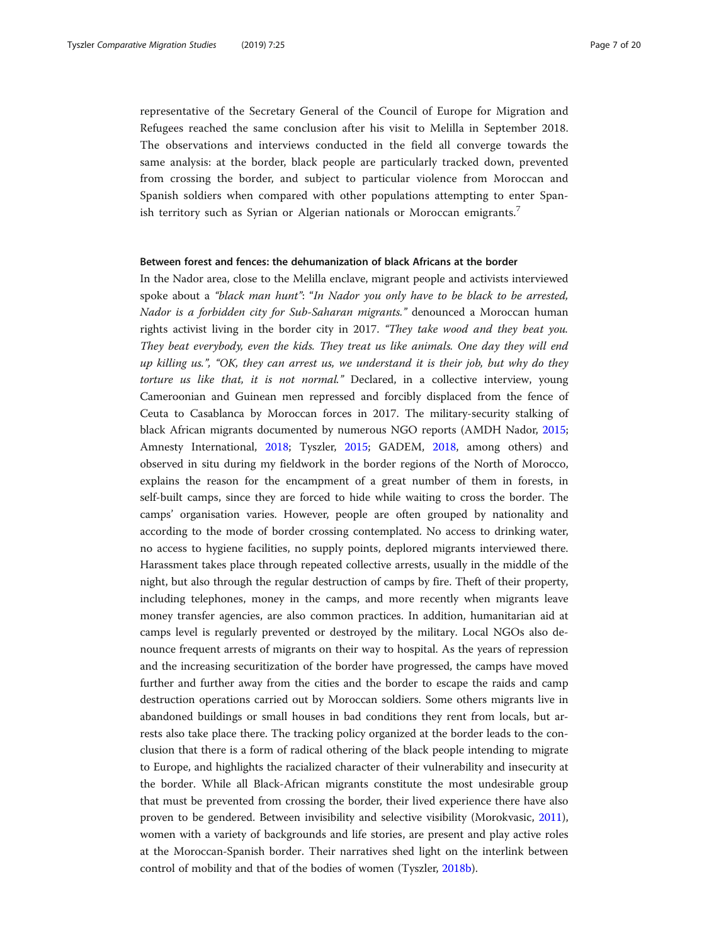representative of the Secretary General of the Council of Europe for Migration and Refugees reached the same conclusion after his visit to Melilla in September 2018. The observations and interviews conducted in the field all converge towards the same analysis: at the border, black people are particularly tracked down, prevented from crossing the border, and subject to particular violence from Moroccan and Spanish soldiers when compared with other populations attempting to enter Spanish territory such as Syrian or Algerian nationals or Moroccan emigrants.<sup>7</sup>

# Between forest and fences: the dehumanization of black Africans at the border

In the Nador area, close to the Melilla enclave, migrant people and activists interviewed spoke about a "black man hunt": "In Nador you only have to be black to be arrested, Nador is a forbidden city for Sub-Saharan migrants." denounced a Moroccan human rights activist living in the border city in 2017. "They take wood and they beat you. They beat everybody, even the kids. They treat us like animals. One day they will end up killing us.", "OK, they can arrest us, we understand it is their job, but why do they torture us like that, it is not normal." Declared, in a collective interview, young Cameroonian and Guinean men repressed and forcibly displaced from the fence of Ceuta to Casablanca by Moroccan forces in 2017. The military-security stalking of black African migrants documented by numerous NGO reports (AMDH Nador, [2015](#page-16-0); Amnesty International, [2018;](#page-16-0) Tyszler, [2015](#page-18-0); GADEM, [2018](#page-17-0), among others) and observed in situ during my fieldwork in the border regions of the North of Morocco, explains the reason for the encampment of a great number of them in forests, in self-built camps, since they are forced to hide while waiting to cross the border. The camps' organisation varies. However, people are often grouped by nationality and according to the mode of border crossing contemplated. No access to drinking water, no access to hygiene facilities, no supply points, deplored migrants interviewed there. Harassment takes place through repeated collective arrests, usually in the middle of the night, but also through the regular destruction of camps by fire. Theft of their property, including telephones, money in the camps, and more recently when migrants leave money transfer agencies, are also common practices. In addition, humanitarian aid at camps level is regularly prevented or destroyed by the military. Local NGOs also denounce frequent arrests of migrants on their way to hospital. As the years of repression and the increasing securitization of the border have progressed, the camps have moved further and further away from the cities and the border to escape the raids and camp destruction operations carried out by Moroccan soldiers. Some others migrants live in abandoned buildings or small houses in bad conditions they rent from locals, but arrests also take place there. The tracking policy organized at the border leads to the conclusion that there is a form of radical othering of the black people intending to migrate to Europe, and highlights the racialized character of their vulnerability and insecurity at the border. While all Black-African migrants constitute the most undesirable group that must be prevented from crossing the border, their lived experience there have also proven to be gendered. Between invisibility and selective visibility (Morokvasic, [2011](#page-18-0)), women with a variety of backgrounds and life stories, are present and play active roles at the Moroccan-Spanish border. Their narratives shed light on the interlink between control of mobility and that of the bodies of women (Tyszler, [2018b](#page-19-0)).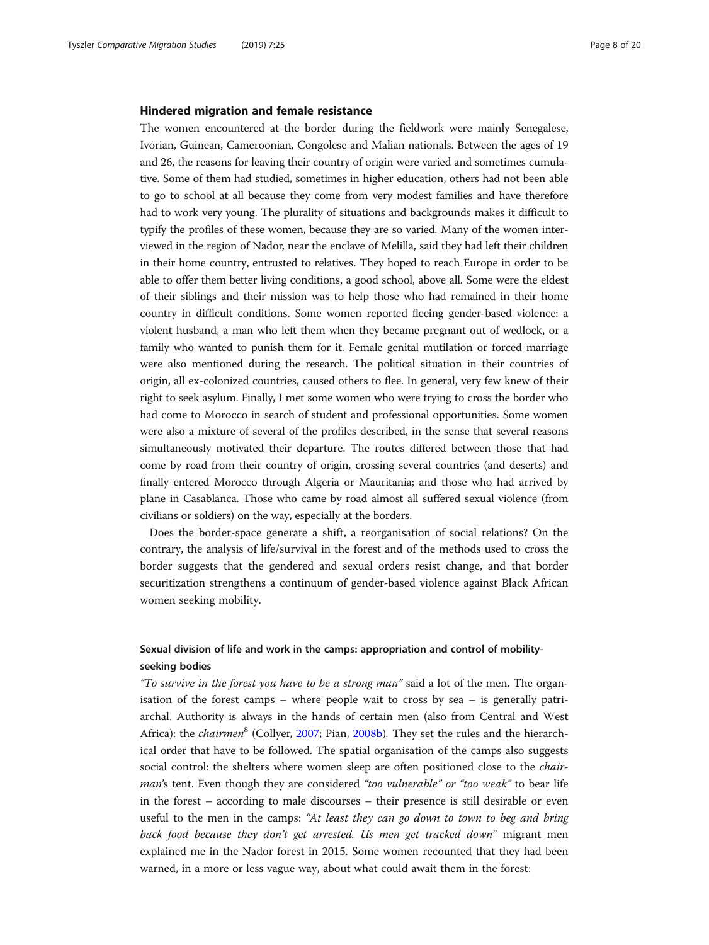# Hindered migration and female resistance

The women encountered at the border during the fieldwork were mainly Senegalese, Ivorian, Guinean, Cameroonian, Congolese and Malian nationals. Between the ages of 19 and 26, the reasons for leaving their country of origin were varied and sometimes cumulative. Some of them had studied, sometimes in higher education, others had not been able to go to school at all because they come from very modest families and have therefore had to work very young. The plurality of situations and backgrounds makes it difficult to typify the profiles of these women, because they are so varied. Many of the women interviewed in the region of Nador, near the enclave of Melilla, said they had left their children in their home country, entrusted to relatives. They hoped to reach Europe in order to be able to offer them better living conditions, a good school, above all. Some were the eldest of their siblings and their mission was to help those who had remained in their home country in difficult conditions. Some women reported fleeing gender-based violence: a violent husband, a man who left them when they became pregnant out of wedlock, or a family who wanted to punish them for it. Female genital mutilation or forced marriage were also mentioned during the research. The political situation in their countries of origin, all ex-colonized countries, caused others to flee. In general, very few knew of their right to seek asylum. Finally, I met some women who were trying to cross the border who had come to Morocco in search of student and professional opportunities. Some women were also a mixture of several of the profiles described, in the sense that several reasons simultaneously motivated their departure. The routes differed between those that had come by road from their country of origin, crossing several countries (and deserts) and finally entered Morocco through Algeria or Mauritania; and those who had arrived by plane in Casablanca. Those who came by road almost all suffered sexual violence (from civilians or soldiers) on the way, especially at the borders.

Does the border-space generate a shift, a reorganisation of social relations? On the contrary, the analysis of life/survival in the forest and of the methods used to cross the border suggests that the gendered and sexual orders resist change, and that border securitization strengthens a continuum of gender-based violence against Black African women seeking mobility.

# Sexual division of life and work in the camps: appropriation and control of mobilityseeking bodies

"To survive in the forest you have to be a strong man" said a lot of the men. The organisation of the forest camps – where people wait to cross by sea – is generally patriarchal. Authority is always in the hands of certain men (also from Central and West Africa): the *chairmen*<sup>8</sup> (Collyer, [2007](#page-16-0); Pian, [2008b](#page-18-0)). They set the rules and the hierarchical order that have to be followed. The spatial organisation of the camps also suggests social control: the shelters where women sleep are often positioned close to the *chair*man's tent. Even though they are considered "too vulnerable" or "too weak" to bear life in the forest – according to male discourses – their presence is still desirable or even useful to the men in the camps: "At least they can go down to town to beg and bring back food because they don't get arrested. Us men get tracked down" migrant men explained me in the Nador forest in 2015. Some women recounted that they had been warned, in a more or less vague way, about what could await them in the forest: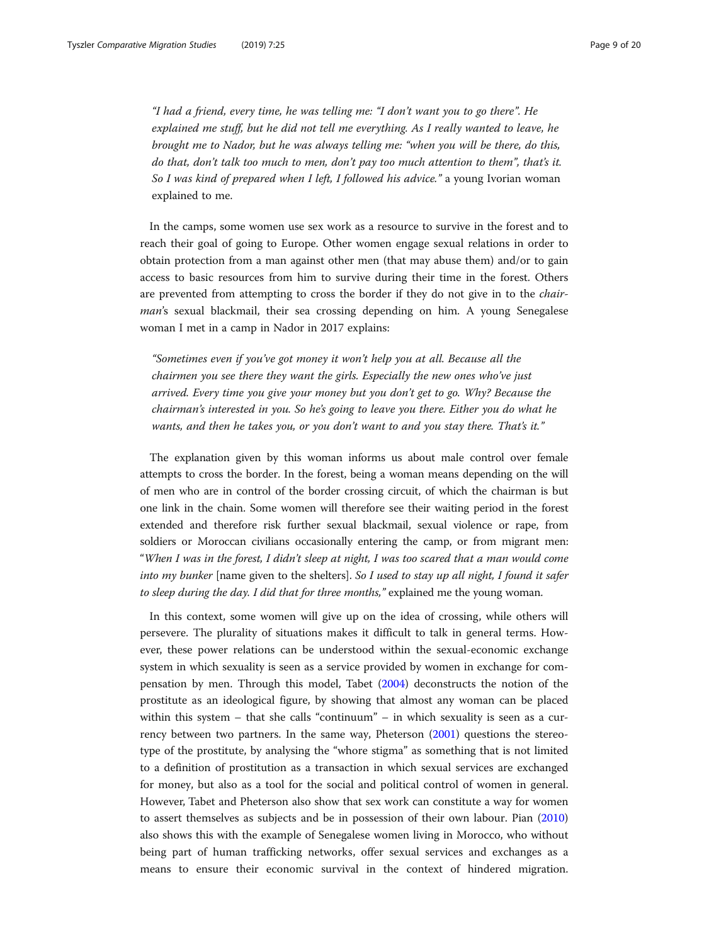"I had a friend, every time, he was telling me: "I don't want you to go there". He explained me stuff, but he did not tell me everything. As I really wanted to leave, he brought me to Nador, but he was always telling me: "when you will be there, do this, do that, don't talk too much to men, don't pay too much attention to them", that's it. So I was kind of prepared when I left, I followed his advice." a young Ivorian woman explained to me.

In the camps, some women use sex work as a resource to survive in the forest and to reach their goal of going to Europe. Other women engage sexual relations in order to obtain protection from a man against other men (that may abuse them) and/or to gain access to basic resources from him to survive during their time in the forest. Others are prevented from attempting to cross the border if they do not give in to the chairman's sexual blackmail, their sea crossing depending on him. A young Senegalese woman I met in a camp in Nador in 2017 explains:

"Sometimes even if you've got money it won't help you at all. Because all the chairmen you see there they want the girls. Especially the new ones who've just arrived. Every time you give your money but you don't get to go. Why? Because the chairman's interested in you. So he's going to leave you there. Either you do what he wants, and then he takes you, or you don't want to and you stay there. That's it."

The explanation given by this woman informs us about male control over female attempts to cross the border. In the forest, being a woman means depending on the will of men who are in control of the border crossing circuit, of which the chairman is but one link in the chain. Some women will therefore see their waiting period in the forest extended and therefore risk further sexual blackmail, sexual violence or rape, from soldiers or Moroccan civilians occasionally entering the camp, or from migrant men: "When I was in the forest, I didn't sleep at night, I was too scared that a man would come into my bunker [name given to the shelters]. So I used to stay up all night, I found it safer to sleep during the day. I did that for three months," explained me the young woman.

In this context, some women will give up on the idea of crossing, while others will persevere. The plurality of situations makes it difficult to talk in general terms. However, these power relations can be understood within the sexual-economic exchange system in which sexuality is seen as a service provided by women in exchange for compensation by men. Through this model, Tabet ([2004](#page-18-0)) deconstructs the notion of the prostitute as an ideological figure, by showing that almost any woman can be placed within this system – that she calls "continuum" – in which sexuality is seen as a currency between two partners. In the same way, Pheterson ([2001](#page-18-0)) questions the stereotype of the prostitute, by analysing the "whore stigma" as something that is not limited to a definition of prostitution as a transaction in which sexual services are exchanged for money, but also as a tool for the social and political control of women in general. However, Tabet and Pheterson also show that sex work can constitute a way for women to assert themselves as subjects and be in possession of their own labour. Pian ([2010](#page-18-0)) also shows this with the example of Senegalese women living in Morocco, who without being part of human trafficking networks, offer sexual services and exchanges as a means to ensure their economic survival in the context of hindered migration.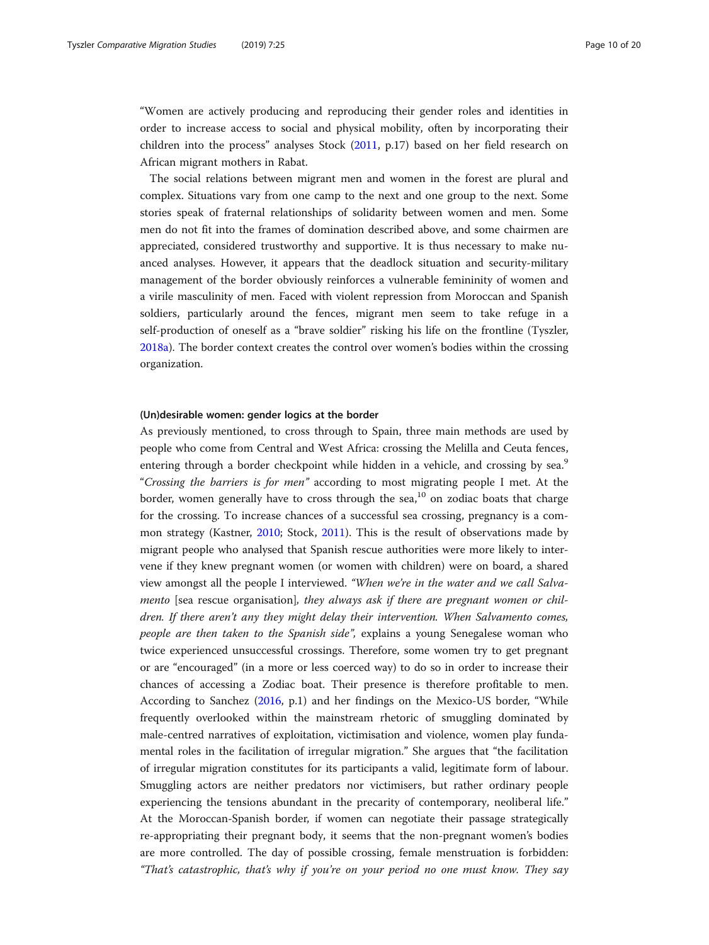"Women are actively producing and reproducing their gender roles and identities in order to increase access to social and physical mobility, often by incorporating their children into the process" analyses Stock ([2011](#page-18-0), p.17) based on her field research on African migrant mothers in Rabat.

The social relations between migrant men and women in the forest are plural and complex. Situations vary from one camp to the next and one group to the next. Some stories speak of fraternal relationships of solidarity between women and men. Some men do not fit into the frames of domination described above, and some chairmen are appreciated, considered trustworthy and supportive. It is thus necessary to make nuanced analyses. However, it appears that the deadlock situation and security-military management of the border obviously reinforces a vulnerable femininity of women and a virile masculinity of men. Faced with violent repression from Moroccan and Spanish soldiers, particularly around the fences, migrant men seem to take refuge in a self-production of oneself as a "brave soldier" risking his life on the frontline (Tyszler, [2018a\)](#page-19-0). The border context creates the control over women's bodies within the crossing organization.

# (Un)desirable women: gender logics at the border

As previously mentioned, to cross through to Spain, three main methods are used by people who come from Central and West Africa: crossing the Melilla and Ceuta fences, entering through a border checkpoint while hidden in a vehicle, and crossing by sea.<sup>9</sup> "Crossing the barriers is for men" according to most migrating people I met. At the border, women generally have to cross through the sea,<sup>10</sup> on zodiac boats that charge for the crossing. To increase chances of a successful sea crossing, pregnancy is a common strategy (Kastner, [2010](#page-17-0); Stock, [2011](#page-18-0)). This is the result of observations made by migrant people who analysed that Spanish rescue authorities were more likely to intervene if they knew pregnant women (or women with children) were on board, a shared view amongst all the people I interviewed. "When we're in the water and we call Salvamento [sea rescue organisation], they always ask if there are pregnant women or children. If there aren't any they might delay their intervention. When Salvamento comes, people are then taken to the Spanish side", explains a young Senegalese woman who twice experienced unsuccessful crossings. Therefore, some women try to get pregnant or are "encouraged" (in a more or less coerced way) to do so in order to increase their chances of accessing a Zodiac boat. Their presence is therefore profitable to men. According to Sanchez ([2016](#page-18-0), p.1) and her findings on the Mexico-US border, "While frequently overlooked within the mainstream rhetoric of smuggling dominated by male-centred narratives of exploitation, victimisation and violence, women play fundamental roles in the facilitation of irregular migration." She argues that "the facilitation of irregular migration constitutes for its participants a valid, legitimate form of labour. Smuggling actors are neither predators nor victimisers, but rather ordinary people experiencing the tensions abundant in the precarity of contemporary, neoliberal life." At the Moroccan-Spanish border, if women can negotiate their passage strategically re-appropriating their pregnant body, it seems that the non-pregnant women's bodies are more controlled. The day of possible crossing, female menstruation is forbidden: "That's catastrophic, that's why if you're on your period no one must know. They say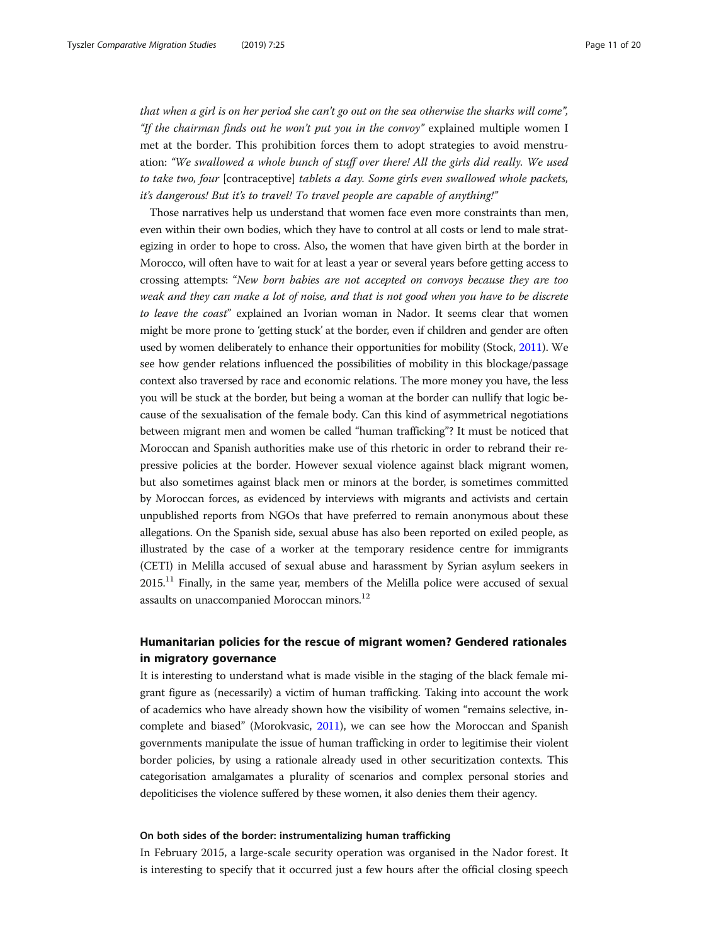that when a girl is on her period she can't go out on the sea otherwise the sharks will come", "If the chairman finds out he won't put you in the convoy" explained multiple women I met at the border. This prohibition forces them to adopt strategies to avoid menstruation: "We swallowed a whole bunch of stuff over there! All the girls did really. We used to take two, four [contraceptive] tablets a day. Some girls even swallowed whole packets, it's dangerous! But it's to travel! To travel people are capable of anything!"

Those narratives help us understand that women face even more constraints than men, even within their own bodies, which they have to control at all costs or lend to male strategizing in order to hope to cross. Also, the women that have given birth at the border in Morocco, will often have to wait for at least a year or several years before getting access to crossing attempts: "New born babies are not accepted on convoys because they are too weak and they can make a lot of noise, and that is not good when you have to be discrete to leave the coast" explained an Ivorian woman in Nador. It seems clear that women might be more prone to 'getting stuck' at the border, even if children and gender are often used by women deliberately to enhance their opportunities for mobility (Stock, [2011\)](#page-18-0). We see how gender relations influenced the possibilities of mobility in this blockage/passage context also traversed by race and economic relations. The more money you have, the less you will be stuck at the border, but being a woman at the border can nullify that logic because of the sexualisation of the female body. Can this kind of asymmetrical negotiations between migrant men and women be called "human trafficking"? It must be noticed that Moroccan and Spanish authorities make use of this rhetoric in order to rebrand their repressive policies at the border. However sexual violence against black migrant women, but also sometimes against black men or minors at the border, is sometimes committed by Moroccan forces, as evidenced by interviews with migrants and activists and certain unpublished reports from NGOs that have preferred to remain anonymous about these allegations. On the Spanish side, sexual abuse has also been reported on exiled people, as illustrated by the case of a worker at the temporary residence centre for immigrants (CETI) in Melilla accused of sexual abuse and harassment by Syrian asylum seekers in  $2015<sup>11</sup>$  Finally, in the same year, members of the Melilla police were accused of sexual assaults on unaccompanied Moroccan minors.<sup>12</sup>

# Humanitarian policies for the rescue of migrant women? Gendered rationales in migratory governance

It is interesting to understand what is made visible in the staging of the black female migrant figure as (necessarily) a victim of human trafficking. Taking into account the work of academics who have already shown how the visibility of women "remains selective, incomplete and biased" (Morokvasic, [2011\)](#page-18-0), we can see how the Moroccan and Spanish governments manipulate the issue of human trafficking in order to legitimise their violent border policies, by using a rationale already used in other securitization contexts. This categorisation amalgamates a plurality of scenarios and complex personal stories and depoliticises the violence suffered by these women, it also denies them their agency.

# On both sides of the border: instrumentalizing human trafficking

In February 2015, a large-scale security operation was organised in the Nador forest. It is interesting to specify that it occurred just a few hours after the official closing speech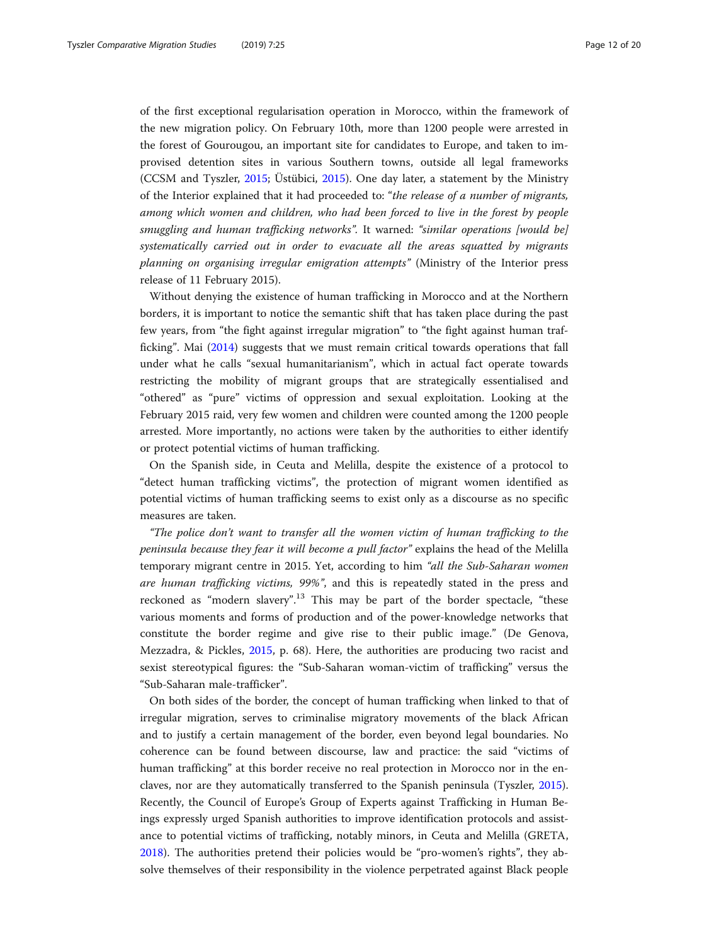of the first exceptional regularisation operation in Morocco, within the framework of the new migration policy. On February 10th, more than 1200 people were arrested in the forest of Gourougou, an important site for candidates to Europe, and taken to improvised detention sites in various Southern towns, outside all legal frameworks (CCSM and Tyszler, [2015;](#page-16-0) Üstübici, [2015](#page-19-0)). One day later, a statement by the Ministry of the Interior explained that it had proceeded to: "the release of a number of migrants, among which women and children, who had been forced to live in the forest by people smuggling and human trafficking networks". It warned: "similar operations [would be] systematically carried out in order to evacuate all the areas squatted by migrants planning on organising irregular emigration attempts" (Ministry of the Interior press release of 11 February 2015).

Without denying the existence of human trafficking in Morocco and at the Northern borders, it is important to notice the semantic shift that has taken place during the past few years, from "the fight against irregular migration" to "the fight against human trafficking". Mai [\(2014\)](#page-17-0) suggests that we must remain critical towards operations that fall under what he calls "sexual humanitarianism", which in actual fact operate towards restricting the mobility of migrant groups that are strategically essentialised and "othered" as "pure" victims of oppression and sexual exploitation. Looking at the February 2015 raid, very few women and children were counted among the 1200 people arrested. More importantly, no actions were taken by the authorities to either identify or protect potential victims of human trafficking.

On the Spanish side, in Ceuta and Melilla, despite the existence of a protocol to "detect human trafficking victims", the protection of migrant women identified as potential victims of human trafficking seems to exist only as a discourse as no specific measures are taken.

"The police don't want to transfer all the women victim of human trafficking to the peninsula because they fear it will become a pull factor" explains the head of the Melilla temporary migrant centre in 2015. Yet, according to him "all the Sub-Saharan women are human trafficking victims, 99%", and this is repeatedly stated in the press and reckoned as "modern slavery".<sup>13</sup> This may be part of the border spectacle, "these various moments and forms of production and of the power-knowledge networks that constitute the border regime and give rise to their public image." (De Genova, Mezzadra, & Pickles, [2015,](#page-17-0) p. 68). Here, the authorities are producing two racist and sexist stereotypical figures: the "Sub-Saharan woman-victim of trafficking" versus the "Sub-Saharan male-trafficker".

On both sides of the border, the concept of human trafficking when linked to that of irregular migration, serves to criminalise migratory movements of the black African and to justify a certain management of the border, even beyond legal boundaries. No coherence can be found between discourse, law and practice: the said "victims of human trafficking" at this border receive no real protection in Morocco nor in the enclaves, nor are they automatically transferred to the Spanish peninsula (Tyszler, [2015](#page-18-0)). Recently, the Council of Europe's Group of Experts against Trafficking in Human Beings expressly urged Spanish authorities to improve identification protocols and assistance to potential victims of trafficking, notably minors, in Ceuta and Melilla (GRETA, [2018](#page-17-0)). The authorities pretend their policies would be "pro-women's rights", they absolve themselves of their responsibility in the violence perpetrated against Black people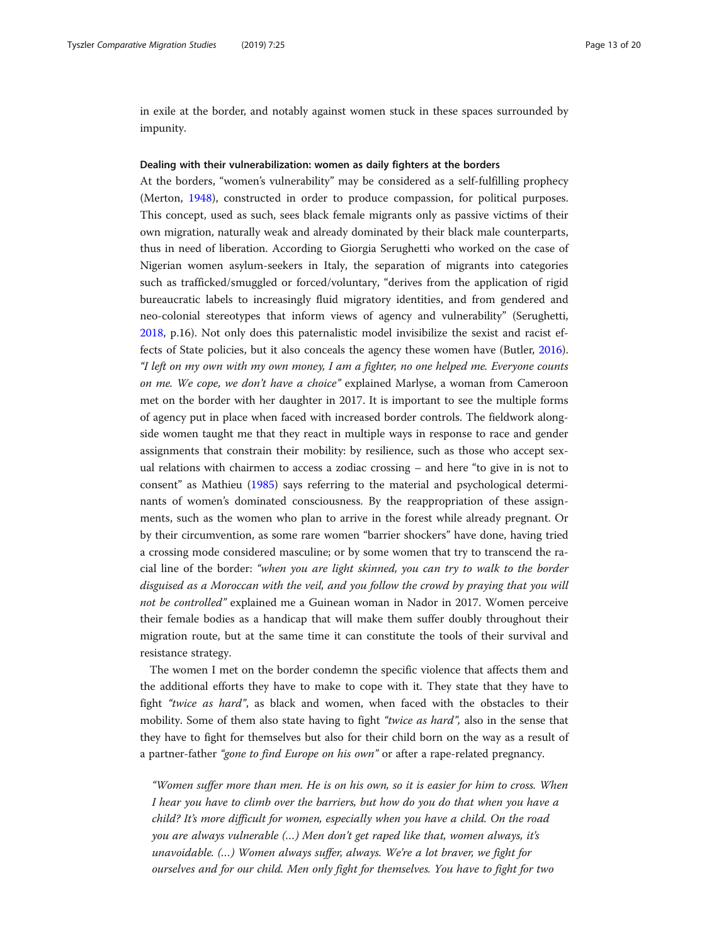in exile at the border, and notably against women stuck in these spaces surrounded by impunity.

# Dealing with their vulnerabilization: women as daily fighters at the borders

At the borders, "women's vulnerability" may be considered as a self-fulfilling prophecy (Merton, [1948](#page-18-0)), constructed in order to produce compassion, for political purposes. This concept, used as such, sees black female migrants only as passive victims of their own migration, naturally weak and already dominated by their black male counterparts, thus in need of liberation. According to Giorgia Serughetti who worked on the case of Nigerian women asylum-seekers in Italy, the separation of migrants into categories such as trafficked/smuggled or forced/voluntary, "derives from the application of rigid bureaucratic labels to increasingly fluid migratory identities, and from gendered and neo-colonial stereotypes that inform views of agency and vulnerability" (Serughetti, [2018](#page-18-0), p.16). Not only does this paternalistic model invisibilize the sexist and racist effects of State policies, but it also conceals the agency these women have (Butler, [2016](#page-16-0)). "I left on my own with my own money, I am a fighter, no one helped me. Everyone counts on me. We cope, we don't have a choice" explained Marlyse, a woman from Cameroon met on the border with her daughter in 2017. It is important to see the multiple forms of agency put in place when faced with increased border controls. The fieldwork alongside women taught me that they react in multiple ways in response to race and gender assignments that constrain their mobility: by resilience, such as those who accept sexual relations with chairmen to access a zodiac crossing – and here "to give in is not to consent" as Mathieu ([1985\)](#page-18-0) says referring to the material and psychological determinants of women's dominated consciousness. By the reappropriation of these assignments, such as the women who plan to arrive in the forest while already pregnant. Or by their circumvention, as some rare women "barrier shockers" have done, having tried a crossing mode considered masculine; or by some women that try to transcend the racial line of the border: "when you are light skinned, you can try to walk to the border disguised as a Moroccan with the veil, and you follow the crowd by praying that you will not be controlled" explained me a Guinean woman in Nador in 2017. Women perceive their female bodies as a handicap that will make them suffer doubly throughout their migration route, but at the same time it can constitute the tools of their survival and resistance strategy.

The women I met on the border condemn the specific violence that affects them and the additional efforts they have to make to cope with it. They state that they have to fight "twice as hard", as black and women, when faced with the obstacles to their mobility. Some of them also state having to fight "*twice as hard*", also in the sense that they have to fight for themselves but also for their child born on the way as a result of a partner-father "gone to find Europe on his own" or after a rape-related pregnancy.

"Women suffer more than men. He is on his own, so it is easier for him to cross. When I hear you have to climb over the barriers, but how do you do that when you have a child? It's more difficult for women, especially when you have a child. On the road you are always vulnerable (…) Men don't get raped like that, women always, it's unavoidable. (…) Women always suffer, always. We're a lot braver, we fight for ourselves and for our child. Men only fight for themselves. You have to fight for two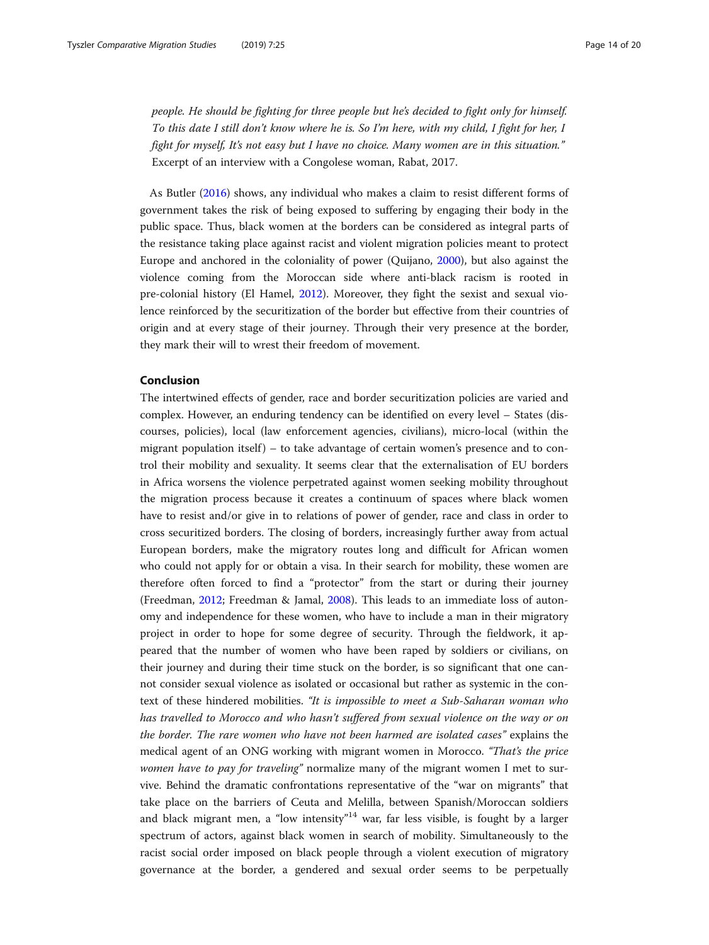people. He should be fighting for three people but he's decided to fight only for himself. To this date I still don't know where he is. So I'm here, with my child, I fight for her, I fight for myself, It's not easy but I have no choice. Many women are in this situation." Excerpt of an interview with a Congolese woman, Rabat, 2017.

As Butler ([2016](#page-16-0)) shows, any individual who makes a claim to resist different forms of government takes the risk of being exposed to suffering by engaging their body in the public space. Thus, black women at the borders can be considered as integral parts of the resistance taking place against racist and violent migration policies meant to protect Europe and anchored in the coloniality of power (Quijano, [2000\)](#page-18-0), but also against the violence coming from the Moroccan side where anti-black racism is rooted in pre-colonial history (El Hamel, [2012](#page-17-0)). Moreover, they fight the sexist and sexual violence reinforced by the securitization of the border but effective from their countries of origin and at every stage of their journey. Through their very presence at the border, they mark their will to wrest their freedom of movement.

# Conclusion

The intertwined effects of gender, race and border securitization policies are varied and complex. However, an enduring tendency can be identified on every level – States (discourses, policies), local (law enforcement agencies, civilians), micro-local (within the migrant population itself ) – to take advantage of certain women's presence and to control their mobility and sexuality. It seems clear that the externalisation of EU borders in Africa worsens the violence perpetrated against women seeking mobility throughout the migration process because it creates a continuum of spaces where black women have to resist and/or give in to relations of power of gender, race and class in order to cross securitized borders. The closing of borders, increasingly further away from actual European borders, make the migratory routes long and difficult for African women who could not apply for or obtain a visa. In their search for mobility, these women are therefore often forced to find a "protector" from the start or during their journey (Freedman, [2012;](#page-17-0) Freedman & Jamal, [2008\)](#page-17-0). This leads to an immediate loss of autonomy and independence for these women, who have to include a man in their migratory project in order to hope for some degree of security. Through the fieldwork, it appeared that the number of women who have been raped by soldiers or civilians, on their journey and during their time stuck on the border, is so significant that one cannot consider sexual violence as isolated or occasional but rather as systemic in the context of these hindered mobilities. "It is impossible to meet a Sub-Saharan woman who has travelled to Morocco and who hasn't suffered from sexual violence on the way or on the border. The rare women who have not been harmed are isolated cases" explains the medical agent of an ONG working with migrant women in Morocco. "That's the price women have to pay for traveling" normalize many of the migrant women I met to survive. Behind the dramatic confrontations representative of the "war on migrants" that take place on the barriers of Ceuta and Melilla, between Spanish/Moroccan soldiers and black migrant men, a "low intensity"<sup>14</sup> war, far less visible, is fought by a larger spectrum of actors, against black women in search of mobility. Simultaneously to the racist social order imposed on black people through a violent execution of migratory governance at the border, a gendered and sexual order seems to be perpetually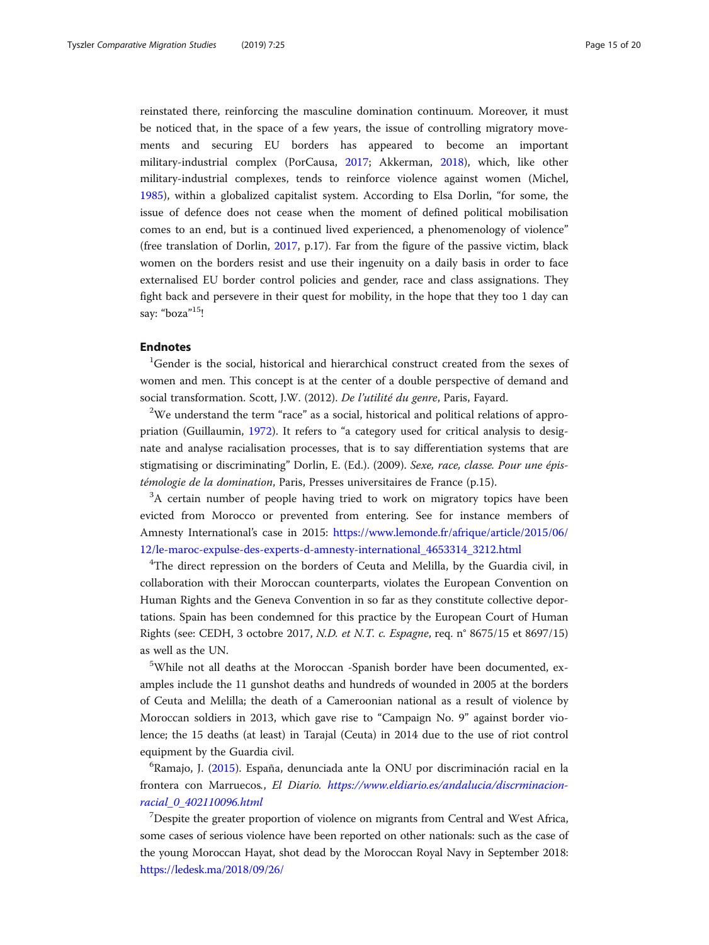reinstated there, reinforcing the masculine domination continuum. Moreover, it must be noticed that, in the space of a few years, the issue of controlling migratory movements and securing EU borders has appeared to become an important military-industrial complex (PorCausa, [2017;](#page-18-0) Akkerman, [2018\)](#page-16-0), which, like other military-industrial complexes, tends to reinforce violence against women (Michel, [1985](#page-18-0)), within a globalized capitalist system. According to Elsa Dorlin, "for some, the issue of defence does not cease when the moment of defined political mobilisation comes to an end, but is a continued lived experienced, a phenomenology of violence" (free translation of Dorlin, [2017](#page-17-0), p.17). Far from the figure of the passive victim, black women on the borders resist and use their ingenuity on a daily basis in order to face externalised EU border control policies and gender, race and class assignations. They fight back and persevere in their quest for mobility, in the hope that they too 1 day can say: "boza"<sup>15</sup>!

# Endnotes

<sup>1</sup>Gender is the social, historical and hierarchical construct created from the sexes of women and men. This concept is at the center of a double perspective of demand and social transformation. Scott, J.W. (2012). De l'utilité du genre, Paris, Fayard.

 $2$ We understand the term "race" as a social, historical and political relations of appropriation (Guillaumin, [1972](#page-17-0)). It refers to "a category used for critical analysis to designate and analyse racialisation processes, that is to say differentiation systems that are stigmatising or discriminating" Dorlin, E. (Ed.). (2009). Sexe, race, classe. Pour une épistémologie de la domination, Paris, Presses universitaires de France (p.15).

<sup>3</sup>A certain number of people having tried to work on migratory topics have been evicted from Morocco or prevented from entering. See for instance members of Amnesty International's case in 2015: [https://www.lemonde.fr/afrique/article/2015/06/](https://www.lemonde.fr/afrique/article/2015/06/12/le-maroc-expulse-des-experts-d-amnesty-international_4653314_3212.html) [12/le-maroc-expulse-des-experts-d-amnesty-international\\_4653314\\_3212.html](https://www.lemonde.fr/afrique/article/2015/06/12/le-maroc-expulse-des-experts-d-amnesty-international_4653314_3212.html)

<sup>4</sup>The direct repression on the borders of Ceuta and Melilla, by the Guardia civil, in collaboration with their Moroccan counterparts, violates the European Convention on Human Rights and the Geneva Convention in so far as they constitute collective deportations. Spain has been condemned for this practice by the European Court of Human Rights (see: CEDH, 3 octobre 2017, N.D. et N.T. c. Espagne, req. n° 8675/15 et 8697/15) as well as the UN.

<sup>5</sup>While not all deaths at the Moroccan -Spanish border have been documented, examples include the 11 gunshot deaths and hundreds of wounded in 2005 at the borders of Ceuta and Melilla; the death of a Cameroonian national as a result of violence by Moroccan soldiers in 2013, which gave rise to "Campaign No. 9" against border violence; the 15 deaths (at least) in Tarajal (Ceuta) in 2014 due to the use of riot control equipment by the Guardia civil.

<sup>6</sup>Ramajo, J. ([2015\)](#page-18-0). España, denunciada ante la ONU por discriminación racial en la frontera con Marruecos., El Diario. [https://www.eldiario.es/andalucia/discrminacion](https://www.eldiario.es/andalucia/discrminacion-racial_0_402110096.html)[racial\\_0\\_402110096.html](https://www.eldiario.es/andalucia/discrminacion-racial_0_402110096.html)

<sup>7</sup>Despite the greater proportion of violence on migrants from Central and West Africa, some cases of serious violence have been reported on other nationals: such as the case of the young Moroccan Hayat, shot dead by the Moroccan Royal Navy in September 2018: [https://ledesk.ma/2018/09/26/](https://ledesk.ma/2018/09/26/go-fast-mitraille-par-la-marine-royale-le-deces-dune-jeune-femme-de-22-ans-atteste/)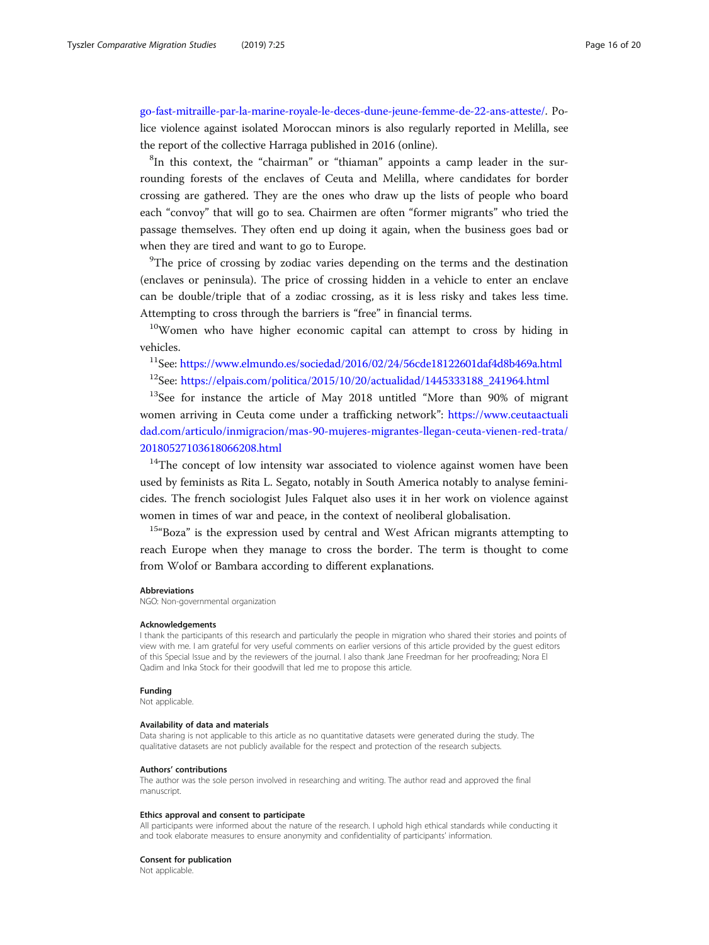[go-fast-mitraille-par-la-marine-royale-le-deces-dune-jeune-femme-de-22-ans-atteste/](https://ledesk.ma/2018/09/26/go-fast-mitraille-par-la-marine-royale-le-deces-dune-jeune-femme-de-22-ans-atteste/). Police violence against isolated Moroccan minors is also regularly reported in Melilla, see the report of the collective Harraga published in 2016 (online).

<sup>8</sup>In this context, the "chairman" or "thiaman" appoints a camp leader in the surrounding forests of the enclaves of Ceuta and Melilla, where candidates for border crossing are gathered. They are the ones who draw up the lists of people who board each "convoy" that will go to sea. Chairmen are often "former migrants" who tried the passage themselves. They often end up doing it again, when the business goes bad or when they are tired and want to go to Europe.

<sup>9</sup>The price of crossing by zodiac varies depending on the terms and the destination (enclaves or peninsula). The price of crossing hidden in a vehicle to enter an enclave can be double/triple that of a zodiac crossing, as it is less risky and takes less time. Attempting to cross through the barriers is "free" in financial terms.

<sup>10</sup>Women who have higher economic capital can attempt to cross by hiding in vehicles.

 $11$ See: <https://www.elmundo.es/sociedad/2016/02/24/56cde18122601daf4d8b469a.html>

 $12$ See: [https://elpais.com/politica/2015/10/20/actualidad/1445333188\\_241964.html](https://elpais.com/politica/2015/10/20/actualidad/1445333188_241964.html)

<sup>13</sup>See for instance the article of May 2018 untitled "More than 90% of migrant women arriving in Ceuta come under a trafficking network": [https://www.ceutaactuali](https://www.ceutaactualidad.com/articulo/inmigracion/mas-90-mujeres-migrantes-llegan-ceuta-vienen-red-trata/20180527103618066208.html) [dad.com/articulo/inmigracion/mas-90-mujeres-migrantes-llegan-ceuta-vienen-red-trata/](https://www.ceutaactualidad.com/articulo/inmigracion/mas-90-mujeres-migrantes-llegan-ceuta-vienen-red-trata/20180527103618066208.html) [20180527103618066208.html](https://www.ceutaactualidad.com/articulo/inmigracion/mas-90-mujeres-migrantes-llegan-ceuta-vienen-red-trata/20180527103618066208.html)

<sup>14</sup>The concept of low intensity war associated to violence against women have been used by feminists as Rita L. Segato, notably in South America notably to analyse feminicides. The french sociologist Jules Falquet also uses it in her work on violence against women in times of war and peace, in the context of neoliberal globalisation.

 $15\text{°}$ Boza" is the expression used by central and West African migrants attempting to reach Europe when they manage to cross the border. The term is thought to come from Wolof or Bambara according to different explanations.

#### Abbreviations

NGO: Non-governmental organization

# Acknowledgements

I thank the participants of this research and particularly the people in migration who shared their stories and points of view with me. I am grateful for very useful comments on earlier versions of this article provided by the guest editors of this Special Issue and by the reviewers of the journal. I also thank Jane Freedman for her proofreading; Nora El Qadim and Inka Stock for their goodwill that led me to propose this article.

#### Funding

Not applicable.

# Availability of data and materials

Data sharing is not applicable to this article as no quantitative datasets were generated during the study. The qualitative datasets are not publicly available for the respect and protection of the research subjects.

#### Authors' contributions

The author was the sole person involved in researching and writing. The author read and approved the final manuscript.

#### Ethics approval and consent to participate

All participants were informed about the nature of the research. I uphold high ethical standards while conducting it and took elaborate measures to ensure anonymity and confidentiality of participants' information.

#### Consent for publication

Not applicable.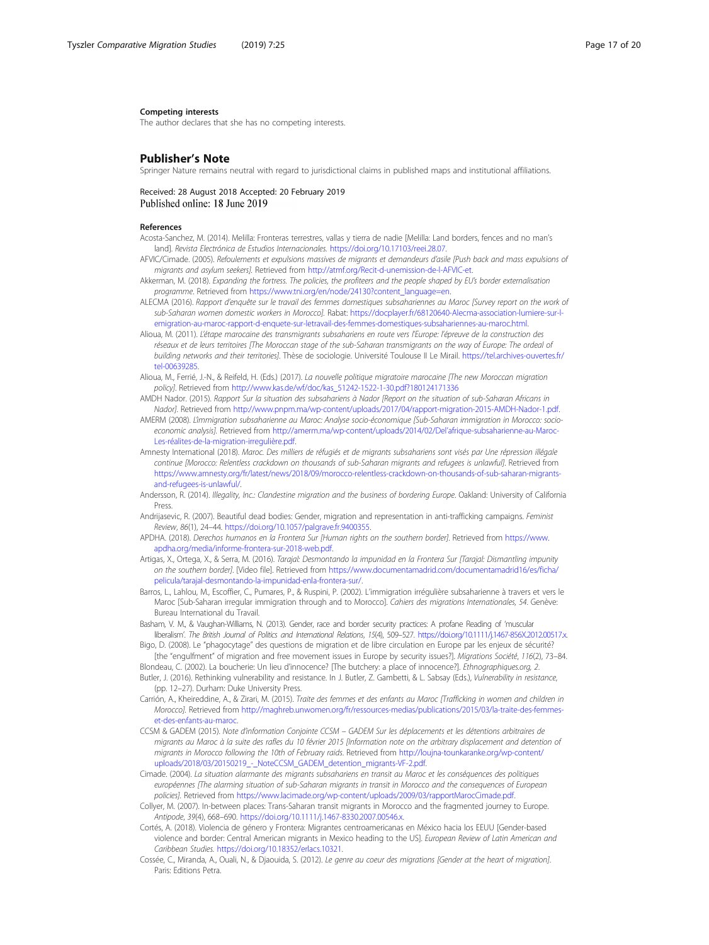#### <span id="page-16-0"></span>Competing interests

The author declares that she has no competing interests.

# Publisher's Note

Springer Nature remains neutral with regard to jurisdictional claims in published maps and institutional affiliations.

# Received: 28 August 2018 Accepted: 20 February 2019 Published online: 18 June 2019

### References

- Acosta-Sanchez, M. (2014). Melilla: Fronteras terrestres, vallas y tierra de nadie [Melilla: Land borders, fences and no man's land]. Revista Electrónica de Estudios Internacionales. https://doi.org/10.17103/reei.28.07.
- AFVIC/Cimade. (2005). Refoulements et expulsions massives de migrants et demandeurs d'asile [Push back and mass expulsions of migrants and asylum seekers]. Retrieved from http://atmf.org/Recit-d-unemission-de-l-AFVIC-et.
- Akkerman, M. (2018). Expanding the fortress. The policies, the profiteers and the people shaped by EU's border externalisation programme. Retrieved from https://www.tni.org/en/node/24130?content\_language=en.
- ALECMA (2016). Rapport d'enquête sur le travail des femmes domestiques subsahariennes au Maroc [Survey report on the work of sub-Saharan women domestic workers in Morocco]. Rabat: [https://docplayer.fr/68120640-Alecma-association-lumiere-sur-l](https://docplayer.fr/68120640-Alecma-association-lumiere-sur-l-emigration-au-maroc-rapport-d-enquete-sur-letravail-des-femmes-domestiques-subsahariennes-au-maroc.html)[emigration-au-maroc-rapport-d-enquete-sur-letravail-des-femmes-domestiques-subsahariennes-au-maroc.html](https://docplayer.fr/68120640-Alecma-association-lumiere-sur-l-emigration-au-maroc-rapport-d-enquete-sur-letravail-des-femmes-domestiques-subsahariennes-au-maroc.html).
- Alioua, M. (2011). L'étape marocaine des transmigrants subsahariens en route vers l'Europe: l'épreuve de la construction des réseaux et de leurs territoires [The Moroccan stage of the sub-Saharan transmigrants on the way of Europe: The ordeal of building networks and their territories]. Thèse de sociologie. Université Toulouse II Le Mirail. [https://tel.archives-ouvertes.fr/](https://tel.archives-ouvertes.fr/tel-00639285) [tel-00639285](https://tel.archives-ouvertes.fr/tel-00639285).
- Alioua, M., Ferrié, J.-N., & Reifeld, H. (Eds.) (2017). La nouvelle politique migratoire marocaine [The new Moroccan migration policy]. Retrieved from http://www.kas.de/wf/doc/kas\_51242-1522-1-30.pdf?180124171336
- AMDH Nador. (2015). Rapport Sur la situation des subsahariens à Nador [Report on the situation of sub-Saharan Africans in Nador]. Retrieved from http://www.pnpm.ma/wp-content/uploads/2017/04/rapport-migration-2015-AMDH-Nador-1.pdf.
- AMERM (2008). L'immigration subsaharienne au Maroc: Analyse socio-économique [Sub-Saharan immigration in Morocco: socioeconomic analysis]. Retrieved from http://amerm.ma/wp-content/uploads/2014/02/Del'afrique-subsaharienne-au-Maroc-Les-réalites-de-la-migration-irregulière.pdf.
- Amnesty International (2018). Maroc. Des milliers de réfugiés et de migrants subsahariens sont visés par Une répression illégale continue [Morocco: Relentless crackdown on thousands of sub-Saharan migrants and refugees is unlawful]. Retrieved from [https://www.amnesty.org/fr/latest/news/2018/09/morocco-relentless-crackdown-on-thousands-of-sub-saharan-migrants](https://www.amnesty.org/fr/latest/news/2018/09/morocco-relentless-crackdown-on-thousands-of-sub-saharan-migrants-and-refugees-is-unlawful/)[and-refugees-is-unlawful/.](https://www.amnesty.org/fr/latest/news/2018/09/morocco-relentless-crackdown-on-thousands-of-sub-saharan-migrants-and-refugees-is-unlawful/)
- Andersson, R. (2014). Illegality, Inc.: Clandestine migration and the business of bordering Europe. Oakland: University of California Press.
- Andrijasevic, R. (2007). Beautiful dead bodies: Gender, migration and representation in anti-trafficking campaigns. Feminist Review, 86(1), 24–44. https://doi.org/10.1057/palgrave.fr.9400355.
- APDHA. (2018). Derechos humanos en la Frontera Sur [Human rights on the southern border]. Retrieved from [https://www.](https://www.apdha.org/media/informe-frontera-sur-2018-web.pdf) [apdha.org/media/informe-frontera-sur-2018-web.pdf](https://www.apdha.org/media/informe-frontera-sur-2018-web.pdf).
- Artigas, X., Ortega, X., & Serra, M. (2016). Tarajal: Desmontando la impunidad en la Frontera Sur [Tarajal: Dismantling impunity on the southern border]. [Video file]. Retrieved from [https://www.documentamadrid.com/documentamadrid16/es/ficha/](https://www.documentamadrid.com/documentamadrid16/es/ficha/pelicula/tarajal-desmontando-la-impunidad-enla-frontera-sur/) [pelicula/tarajal-desmontando-la-impunidad-enla-frontera-sur/.](https://www.documentamadrid.com/documentamadrid16/es/ficha/pelicula/tarajal-desmontando-la-impunidad-enla-frontera-sur/)
- Barros, L., Lahlou, M., Escoffier, C., Pumares, P., & Ruspini, P. (2002). L'immigration irrégulière subsaharienne à travers et vers le Maroc [Sub-Saharan irregular immigration through and to Morocco]. Cahiers des migrations Internationales, 54. Genève: Bureau International du Travail.
- Basham, V. M., & Vaughan-Williams, N. (2013). Gender, race and border security practices: A profane Reading of 'muscular liberalism'. The British Journal of Politics and International Relations, 15(4), 509–527. https://doi.org/10.1111/j.1467-856X.2012.00517.x.
- Bigo, D. (2008). Le "phagocytage" des questions de migration et de libre circulation en Europe par les enjeux de sécurité? [the "engulfment" of migration and free movement issues in Europe by security issues?]. Migrations Société, 116(2), 73–84.
- Blondeau, C. (2002). La boucherie: Un lieu d'innocence? [The butchery: a place of innocence?]. Ethnographiques.org, 2.
- Butler, J. (2016). Rethinking vulnerability and resistance. In J. Butler, Z. Gambetti, & L. Sabsay (Eds.), Vulnerability in resistance, (pp. 12–27). Durham: Duke University Press.
- Carrión, A., Kheireddine, A., & Zirari, M. (2015). Traite des femmes et des enfants au Maroc [Trafficking in women and children in Morocco]. Retrieved from [http://maghreb.unwomen.org/fr/ressources-medias/publications/2015/03/la-traite-des-femmes](http://maghreb.unwomen.org/fr/ressources-medias/publications/2015/03/la-traite-des-femmes-et-des-enfants-au-maroc)[et-des-enfants-au-maroc.](http://maghreb.unwomen.org/fr/ressources-medias/publications/2015/03/la-traite-des-femmes-et-des-enfants-au-maroc)
- CCSM & GADEM (2015). Note d'information Conjointe CCSM GADEM Sur les déplacements et les détentions arbitraires de migrants au Maroc à la suite des rafles du 10 février 2015 [Information note on the arbitrary displacement and detention of migrants in Morocco following the 10th of February raids. Retrieved from [http://loujna-tounkaranke.org/wp-content/](http://loujna-tounkaranke.org/wp-content/uploads/2018/03/20150219_-_NoteCCSM_GADEM_detention_migrants-VF-2.pdf) [uploads/2018/03/20150219\\_-\\_NoteCCSM\\_GADEM\\_detention\\_migrants-VF-2.pdf.](http://loujna-tounkaranke.org/wp-content/uploads/2018/03/20150219_-_NoteCCSM_GADEM_detention_migrants-VF-2.pdf)
- Cimade. (2004). La situation alarmante des migrants subsahariens en transit au Maroc et les conséquences des politiques européennes [The alarming situation of sub-Saharan migrants in transit in Morocco and the consequences of European policies]. Retrieved from <https://www.lacimade.org/wp-content/uploads/2009/03/rapportMarocCimade.pdf>.
- Collyer, M. (2007). In-between places: Trans-Saharan transit migrants in Morocco and the fragmented journey to Europe. Antipode, 39(4), 668–690. https://doi.org/10.1111/j.1467-8330.2007.00546.x.
- Cortés, A. (2018). Violencia de género y Frontera: Migrantes centroamericanas en México hacia los EEUU [Gender-based violence and border: Central American migrants in Mexico heading to the US]. European Review of Latin American and Caribbean Studies. https://doi.org/10.18352/erlacs.10321.
- Cossée, C., Miranda, A., Ouali, N., & Djaouida, S. (2012). Le genre au coeur des migrations [Gender at the heart of migration]. Paris: Editions Petra.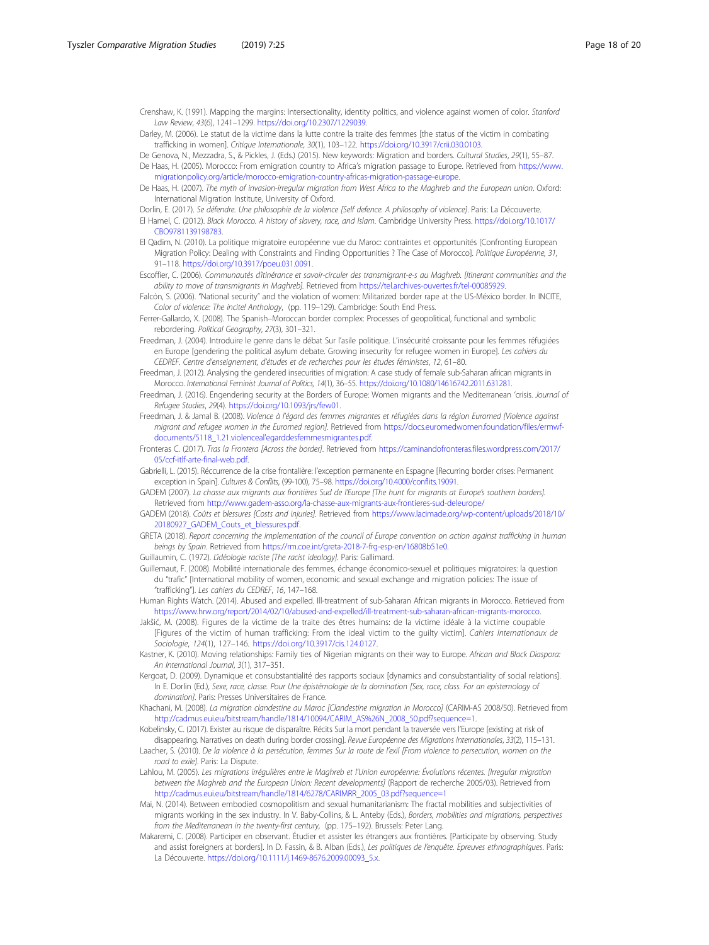<span id="page-17-0"></span>Crenshaw, K. (1991). Mapping the margins: Intersectionality, identity politics, and violence against women of color. Stanford Law Review, 43(6), 1241–1299. https://doi.org/10.2307/1229039.

- Darley, M. (2006). Le statut de la victime dans la lutte contre la traite des femmes [the status of the victim in combating trafficking in women]. Critique Internationale, 30(1), 103–122. https://doi.org/10.3917/crii.030.0103.
- De Genova, N., Mezzadra, S., & Pickles, J. (Eds.) (2015). New keywords: Migration and borders. Cultural Studies, 29(1), 55–87. De Haas, H. (2005). Morocco: From emigration country to Africa's migration passage to Europe. Retrieved from [https://www.](https://www.migrationpolicy.org/article/morocco-emigration-country-africas-migration-passage-europe)

[migrationpolicy.org/article/morocco-emigration-country-africas-migration-passage-europe.](https://www.migrationpolicy.org/article/morocco-emigration-country-africas-migration-passage-europe) De Haas, H. (2007). The myth of invasion-irregular migration from West Africa to the Maghreb and the European union. Oxford:

- International Migration Institute, University of Oxford. Dorlin, E. (2017). Se défendre. Une philosophie de la violence [Self defence. A philosophy of violence]. Paris: La Découverte.
- El Hamel, C. (2012). Black Morocco. A history of slavery, race, and Islam. Cambridge University Press. [https://doi.org/10.1017/](https://doi.org/10.1017/CBO9781139198783) [CBO9781139198783](https://doi.org/10.1017/CBO9781139198783).
- El Qadim, N. (2010). La politique migratoire européenne vue du Maroc: contraintes et opportunités [Confronting European Migration Policy: Dealing with Constraints and Finding Opportunities ? The Case of Morocco]. Politique Européenne, 31, 91–118. [https://doi.org/10.3917/poeu.031.0091.](https://doi.org/10.3917/poeu.031.0091)
- Escoffier, C. (2006). Communautés d'itinérance et savoir-circuler des transmigrant-e-s au Maghreb. [Itinerant communities and the ability to move of transmigrants in Maghreb]. Retrieved from <https://tel.archives-ouvertes.fr/tel-00085929>.
- Falcón, S. (2006). "National security" and the violation of women: Militarized border rape at the US-México border. In INCITE, Color of violence: The incite! Anthology, (pp. 119–129). Cambridge: South End Press.
- Ferrer-Gallardo, X. (2008). The Spanish–Moroccan border complex: Processes of geopolitical, functional and symbolic rebordering. Political Geography, 27(3), 301–321.
- Freedman, J. (2004). Introduire le genre dans le débat Sur l'asile politique. L'insécurité croissante pour les femmes réfugiées en Europe [gendering the political asylum debate. Growing insecurity for refugee women in Europe]. Les cahiers du CEDREF. Centre d'enseignement, d'études et de recherches pour les études féministes, 12, 61–80.
- Freedman, J. (2012). Analysing the gendered insecurities of migration: A case study of female sub-Saharan african migrants in Morocco. International Feminist Journal of Politics, 14(1), 36–55. <https://doi.org/10.1080/14616742.2011.631281>.
- Freedman, J. (2016). Engendering security at the Borders of Europe: Women migrants and the Mediterranean 'crisis. Journal of Refugee Studies, 29(4). https://doi.org/10.1093/jrs/few01.
- Freedman, J. & Jamal B. (2008). Violence à l'égard des femmes migrantes et réfugiées dans la région Euromed Niolence against migrant and refugee women in the Euromed region]. Retrieved from [https://docs.euromedwomen.foundation/files/ermwf](https://docs.euromedwomen.foundation/files/ermwf-documents/5118_1.21.violenceal)[documents/5118\\_1.21.violenceal'egarddesfemmesmigrantes.pdf.](https://docs.euromedwomen.foundation/files/ermwf-documents/5118_1.21.violenceal)
- Fronteras C. (2017). Tras la Frontera [Across the border]. Retrieved from [https://caminandofronteras.files.wordpress.com/2017/](https://caminandofronteras.files.wordpress.com/2017/05/ccf-itlf-arte-final-web.pdf) [05/ccf-itlf-arte-final-web.pdf](https://caminandofronteras.files.wordpress.com/2017/05/ccf-itlf-arte-final-web.pdf).
- Gabrielli, L. (2015). Réccurrence de la crise frontalière: l'exception permanente en Espagne [Recurring border crises: Permanent exception in Spain]. Cultures & Conflits, (99-100), 75–98. https://doi.org/10.4000/conflits.19091.
- GADEM (2007). La chasse aux migrants aux frontières Sud de l'Europe [The hunt for migrants at Europe's southern borders]. Retrieved from http://www.gadem-asso.org/la-chasse-aux-migrants-aux-frontieres-sud-deleurope/
- GADEM (2018). Coûts et blessures [Costs and injuries]. Retrieved from [https://www.lacimade.org/wp-content/uploads/2018/10/](https://www.lacimade.org/wp-content/uploads/2018/10/20180927_GADEM_Couts_et_blessures.pdf) [20180927\\_GADEM\\_Couts\\_et\\_blessures.pdf](https://www.lacimade.org/wp-content/uploads/2018/10/20180927_GADEM_Couts_et_blessures.pdf).
- GRETA (2018). Report concerning the implementation of the council of Europe convention on action against trafficking in human beings by Spain. Retrieved from https://rm.coe.int/greta-2018-7-frg-esp-en/16808b51e0.
- Guillaumin, C. (1972). L'idéologie raciste [The racist ideology]. Paris: Gallimard.

Guillemaut, F. (2008). Mobilité internationale des femmes, échange économico-sexuel et politiques migratoires: la question du "trafic" [International mobility of women, economic and sexual exchange and migration policies: The issue of "trafficking"]. Les cahiers du CEDREF, 16, 147–168.

Human Rights Watch. (2014). Abused and expelled. Ill-treatment of sub-Saharan African migrants in Morocco. Retrieved from [https://www.hrw.org/report/2014/02/10/abused-and-expelled/ill-treatment-sub-saharan-african-migrants-morocco.](https://www.hrw.org/report/2014/02/10/abused-and-expelled/ill-treatment-sub-saharan-african-migrants-morocco)

- Jakšić, M. (2008). Figures de la victime de la traite des êtres humains: de la victime idéale à la victime coupable [Figures of the victim of human trafficking: From the ideal victim to the guilty victim]. Cahiers Internationaux de Sociologie, 124(1), 127–146. https://doi.org/10.3917/cis.124.0127.
- Kastner, K. (2010). Moving relationships: Family ties of Nigerian migrants on their way to Europe. African and Black Diaspora: An International Journal, 3(1), 317–351.
- Kergoat, D. (2009). Dynamique et consubstantialité des rapports sociaux [dynamics and consubstantiality of social relations]. In E. Dorlin (Ed.), Sexe, race, classe. Pour Une épistémologie de la domination [Sex, race, class. For an epistemology of domination]. Paris: Presses Universitaires de France.
- Khachani, M. (2008). La migration clandestine au Maroc [Clandestine migration in Morocco] (CARIM-AS 2008/50). Retrieved from http://cadmus.eui.eu/bitstream/handle/1814/10094/CARIM\_AS%26N\_2008\_50.pdf?sequence=1.
- Kobelinsky, C. (2017). Exister au risque de disparaître. Récits Sur la mort pendant la traversée vers l'Europe [existing at risk of disappearing. Narratives on death during border crossing]. Revue Européenne des Migrations Internationales, 33(2), 115–131.
- Laacher, S. (2010). De la violence à la persécution, femmes Sur la route de l'exil [From violence to persecution, women on the road to exilel. Paris: La Dispute.
- Lahlou, M. (2005). Les migrations irrégulières entre le Maghreb et l'Union européenne: Évolutions récentes. [Irregular migration between the Maghreb and the European Union: Recent developments] (Rapport de recherche 2005/03). Retrieved from http://cadmus.eui.eu/bitstream/handle/1814/6278/CARIMRR\_2005\_03.pdf?sequence=1
- Mai, N. (2014). Between embodied cosmopolitism and sexual humanitarianism: The fractal mobilities and subjectivities of migrants working in the sex industry. In V. Baby-Collins, & L. Anteby (Eds.), Borders, mobilities and migrations, perspectives from the Mediterranean in the twenty-first century, (pp. 175-192). Brussels: Peter Lang
- Makaremi, C. (2008). Participer en observant. Étudier et assister les étrangers aux frontières. [Participate by observing. Study and assist foreigners at borders]. In D. Fassin, & B. Alban (Eds.), Les politiques de l'enquête. Epreuves ethnographiques. Paris: La Découverte. https://doi.org/10.1111/j.1469-8676.2009.00093\_5.x.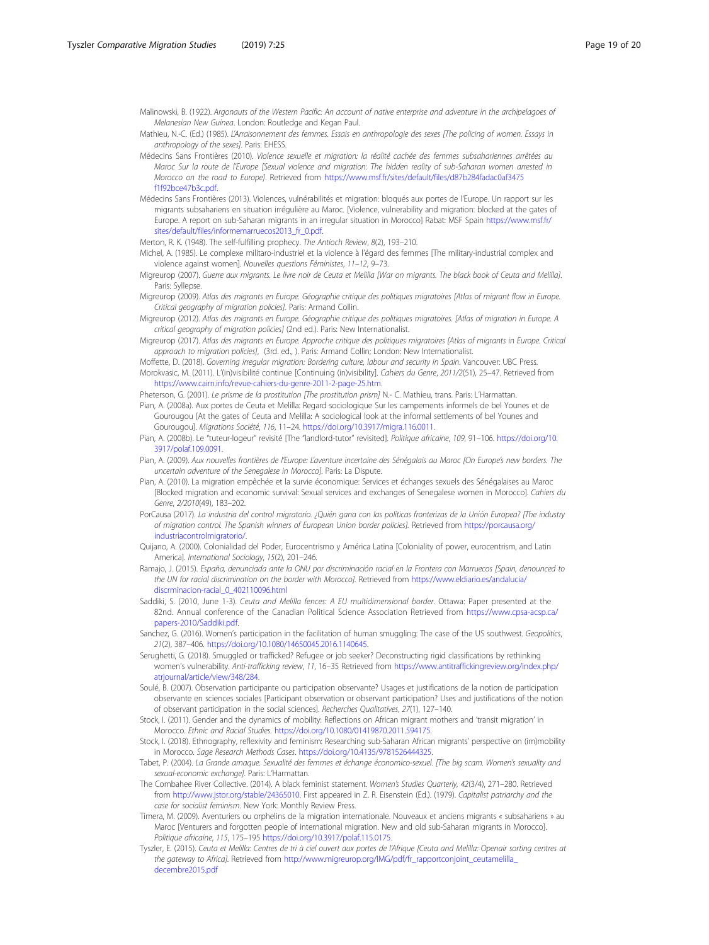<span id="page-18-0"></span>Malinowski, B. (1922). Argonauts of the Western Pacific: An account of native enterprise and adventure in the archipelagoes of Melanesian New Guinea. London: Routledge and Kegan Paul.

- Mathieu, N.-C. (Ed.) (1985). L'Arraisonnement des femmes. Essais en anthropologie des sexes [The policing of women. Essays in anthropology of the sexes]. Paris: EHESS.
- Médecins Sans Frontières (2010). Violence sexuelle et migration: la réalité cachée des femmes subsahariennes arrêtées au Maroc Sur la route de l'Europe [Sexual violence and migration: The hidden reality of sub-Saharan women arrested in Morocco on the road to Europe]. Retrieved from [https://www.msf.fr/sites/default/files/d87b284fadac0af3475](https://www.msf.fr/sites/default/files/d87b284fadac0af3475f1f92bce47b3c.pdf) [f1f92bce47b3c.pdf](https://www.msf.fr/sites/default/files/d87b284fadac0af3475f1f92bce47b3c.pdf).
- Médecins Sans Frontières (2013). Violences, vulnérabilités et migration: bloqués aux portes de l'Europe. Un rapport sur les migrants subsahariens en situation irrégulière au Maroc. [Violence, vulnerability and migration: blocked at the gates of Europe. A report on sub-Saharan migrants in an irregular situation in Morocco] Rabat: MSF Spain [https://www.msf.fr/](https://www.msf.fr/sites/default/files/informemarruecos2013_fr_0.pdf) [sites/default/files/informemarruecos2013\\_fr\\_0.pdf.](https://www.msf.fr/sites/default/files/informemarruecos2013_fr_0.pdf)

Merton, R. K. (1948). The self-fulfilling prophecy. The Antioch Review, 8(2), 193–210.

- Michel, A. (1985). Le complexe militaro-industriel et la violence à l'égard des femmes [The military-industrial complex and violence against women]. Nouvelles questions Féministes, 11–12, 9–73.
- Migreurop (2007). Guerre aux migrants. Le livre noir de Ceuta et Melilla [War on migrants. The black book of Ceuta and Melilla]. Paris: Syllepse.
- Migreurop (2009). Atlas des migrants en Europe. Géographie critique des politiques migratoires [Atlas of migrant flow in Europe. Critical geography of migration policies]. Paris: Armand Collin.
- Migreurop (2012). Atlas des migrants en Europe. Géographie critique des politiques migratoires. [Atlas of migration in Europe. A critical geography of migration policies] (2nd ed.). Paris: New Internationalist.

Migreurop (2017). Atlas des migrants en Europe. Approche critique des politiques migratoires [Atlas of migrants in Europe. Critical approach to migration policies], (3rd. ed., ). Paris: Armand Collin; London: New Internationalist.

Moffette, D. (2018). Governing irregular migration: Bordering culture, labour and security in Spain. Vancouver: UBC Press. Morokvasic, M. (2011). L'(in)visibilité continue [Continuing (in)visibility]. Cahiers du Genre, 2011/2(51), 25–47. Retrieved from https://www.cairn.info/revue-cahiers-du-genre-2011-2-page-25.htm.

- Pheterson, G. (2001). Le prisme de la prostitution [The prostitution prism] N.- C. Mathieu, trans. Paris: L'Harmattan.
- Pian, A. (2008a). Aux portes de Ceuta et Melilla: Regard sociologique Sur les campements informels de bel Younes et de Gourougou [At the gates of Ceuta and Melilla: A sociological look at the informal settlements of bel Younes and Gourougou]. Migrations Société, 116, 11–24. https://doi.org/10.3917/migra.116.0011.
- Pian, A. (2008b). Le "tuteur-logeur" revisité [The "landlord-tutor" revisited]. Politique africaine, 109, 91–106. [https://doi.org/10.](https://doi.org/10.3917/polaf.109.0091) [3917/polaf.109.0091](https://doi.org/10.3917/polaf.109.0091).
- Pian, A. (2009). Aux nouvelles frontières de l'Europe: L'aventure incertaine des Sénégalais au Maroc [On Europe's new borders. The uncertain adventure of the Senegalese in Morocco]. Paris: La Dispute.
- Pian, A. (2010). La migration empêchée et la survie économique: Services et échanges sexuels des Sénégalaises au Maroc [Blocked migration and economic survival: Sexual services and exchanges of Senegalese women in Morocco]. Cahiers du Genre, 2/2010(49), 183–202.
- PorCausa (2017). La industria del control migratorio. ¿Quién gana con las políticas fronterizas de la Unión Europea? [The industry of migration control. The Spanish winners of European Union border policies]. Retrieved from [https://porcausa.org/](https://porcausa.org/industriacontrolmigratorio/) [industriacontrolmigratorio/](https://porcausa.org/industriacontrolmigratorio/).
- Quijano, A. (2000). Colonialidad del Poder, Eurocentrismo y América Latina [Coloniality of power, eurocentrism, and Latin America]. International Sociology, 15(2), 201–246.
- Ramajo, J. (2015). España, denunciada ante la ONU por discriminación racial en la Frontera con Marruecos [Spain, denounced to the UN for racial discrimination on the border with Morocco]. Retrieved from [https://www.eldiario.es/andalucia/](https://www.eldiario.es/andalucia/discrminacion-racial_0_402110096.html) [discrminacion-racial\\_0\\_402110096.html](https://www.eldiario.es/andalucia/discrminacion-racial_0_402110096.html)
- Saddiki, S. (2010, June 1-3). Ceuta and Melilla fences: A EU multidimensional border. Ottawa: Paper presented at the 82nd. Annual conference of the Canadian Political Science Association Retrieved from [https://www.cpsa-acsp.ca/](https://www.cpsa-acsp.ca/papers-2010/Saddiki.pdf) [papers-2010/Saddiki.pdf.](https://www.cpsa-acsp.ca/papers-2010/Saddiki.pdf)
- Sanchez, G. (2016). Women's participation in the facilitation of human smuggling: The case of the US southwest. Geopolitics, 21(2), 387–406. https://doi.org/10.1080/14650045.2016.1140645.
- Serughetti, G. (2018). Smuggled or trafficked? Refugee or job seeker? Deconstructing rigid classifications by rethinking women's vulnerability. Anti-trafficking review, 11, 16–35 Retrieved from [https://www.antitraffickingreview.org/index.php/](https://www.antitraffickingreview.org/index.php/atrjournal/article/view/348/284) [atrjournal/article/view/348/284.](https://www.antitraffickingreview.org/index.php/atrjournal/article/view/348/284)
- Soulé, B. (2007). Observation participante ou participation observante? Usages et justifications de la notion de participation observante en sciences sociales [Participant observation or observant participation? Uses and justifications of the notion of observant participation in the social sciences]. Recherches Qualitatives, 27(1), 127–140.
- Stock, I. (2011). Gender and the dynamics of mobility: Reflections on African migrant mothers and 'transit migration' in Morocco. Ethnic and Racial Studies. https://doi.org/10.1080/01419870.2011.594175.
- Stock, I. (2018). Ethnography, reflexivity and feminism: Researching sub-Saharan African migrants' perspective on (im)mobility in Morocco. Sage Research Methods Cases. https://doi.org/10.4135/9781526444325.
- Tabet, P. (2004). La Grande arnaque. Sexualité des femmes et échange économico-sexuel. [The big scam. Women's sexuality and sexual-economic exchange]. Paris: L'Harmattan.
- The Combahee River Collective. (2014). A black feminist statement. Women's Studies Quarterly, 42(3/4), 271–280. Retrieved from http://www.jstor.org/stable/24365010. First appeared in Z. R. Eisenstein (Ed.). (1979). Capitalist patriarchy and the case for socialist feminism. New York: Monthly Review Press.
- Timera, M. (2009). Aventuriers ou orphelins de la migration internationale. Nouveaux et anciens migrants « subsahariens » au Maroc [Venturers and forgotten people of international migration. New and old sub-Saharan migrants in Morocco]. Politique africaine, 115, 175–195 https://doi.org/10.3917/polaf.115.0175.
- Tyszler, E. (2015). Ceuta et Melilla: Centres de tri à ciel ouvert aux portes de l'Afrique [Ceuta and Melilla: Openair sorting centres at the gateway to Africa]. Retrieved from [http://www.migreurop.org/IMG/pdf/fr\\_rapportconjoint\\_ceutamelilla\\_](http://www.migreurop.org/IMG/pdf/fr_rapportconjoint_ceutamelilla_decembre2015.pdf) [decembre2015.pdf](http://www.migreurop.org/IMG/pdf/fr_rapportconjoint_ceutamelilla_decembre2015.pdf)